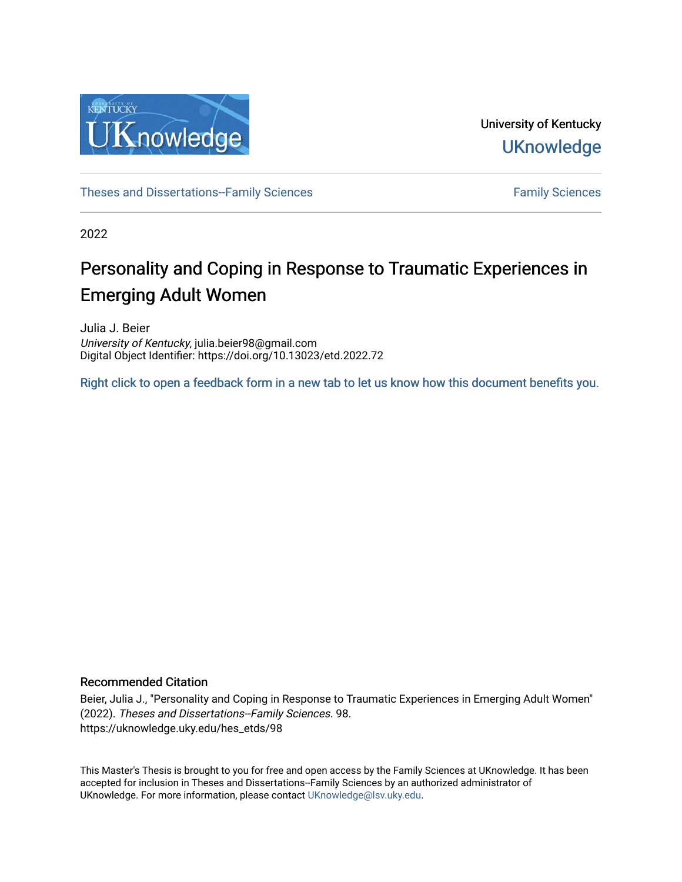

University of Kentucky **UKnowledge** 

[Theses and Dissertations--Family Sciences](https://uknowledge.uky.edu/hes_etds) [Family Sciences](https://uknowledge.uky.edu/hes) Family Sciences

2022

# Personality and Coping in Response to Traumatic Experiences in Emerging Adult Women

Julia J. Beier University of Kentucky, julia.beier98@gmail.com Digital Object Identifier: https://doi.org/10.13023/etd.2022.72

[Right click to open a feedback form in a new tab to let us know how this document benefits you.](https://uky.az1.qualtrics.com/jfe/form/SV_9mq8fx2GnONRfz7)

#### Recommended Citation

Beier, Julia J., "Personality and Coping in Response to Traumatic Experiences in Emerging Adult Women" (2022). Theses and Dissertations--Family Sciences. 98. https://uknowledge.uky.edu/hes\_etds/98

This Master's Thesis is brought to you for free and open access by the Family Sciences at UKnowledge. It has been accepted for inclusion in Theses and Dissertations--Family Sciences by an authorized administrator of UKnowledge. For more information, please contact [UKnowledge@lsv.uky.edu](mailto:UKnowledge@lsv.uky.edu).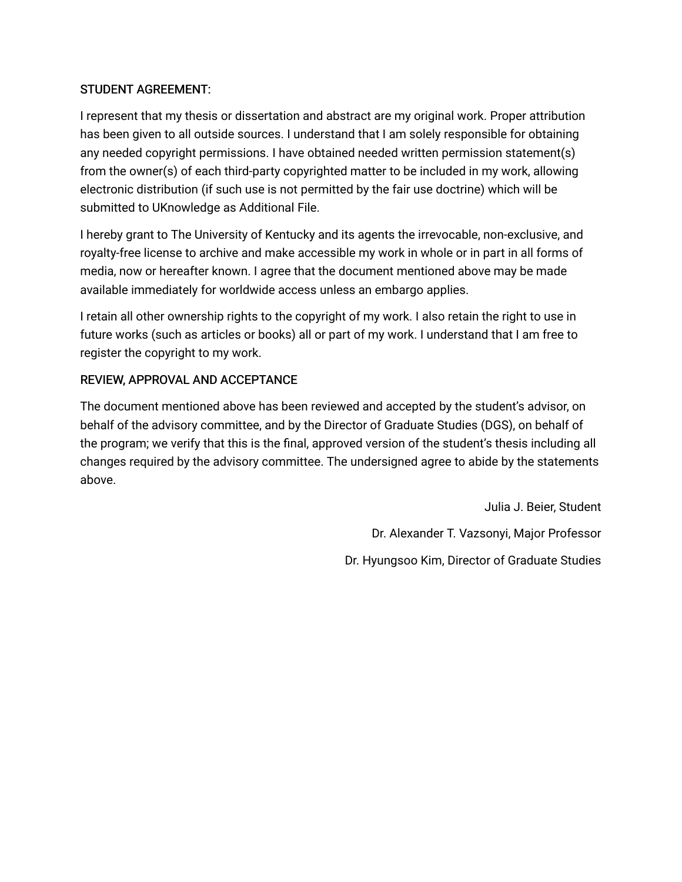## STUDENT AGREEMENT:

I represent that my thesis or dissertation and abstract are my original work. Proper attribution has been given to all outside sources. I understand that I am solely responsible for obtaining any needed copyright permissions. I have obtained needed written permission statement(s) from the owner(s) of each third-party copyrighted matter to be included in my work, allowing electronic distribution (if such use is not permitted by the fair use doctrine) which will be submitted to UKnowledge as Additional File.

I hereby grant to The University of Kentucky and its agents the irrevocable, non-exclusive, and royalty-free license to archive and make accessible my work in whole or in part in all forms of media, now or hereafter known. I agree that the document mentioned above may be made available immediately for worldwide access unless an embargo applies.

I retain all other ownership rights to the copyright of my work. I also retain the right to use in future works (such as articles or books) all or part of my work. I understand that I am free to register the copyright to my work.

## REVIEW, APPROVAL AND ACCEPTANCE

The document mentioned above has been reviewed and accepted by the student's advisor, on behalf of the advisory committee, and by the Director of Graduate Studies (DGS), on behalf of the program; we verify that this is the final, approved version of the student's thesis including all changes required by the advisory committee. The undersigned agree to abide by the statements above.

> Julia J. Beier, Student Dr. Alexander T. Vazsonyi, Major Professor Dr. Hyungsoo Kim, Director of Graduate Studies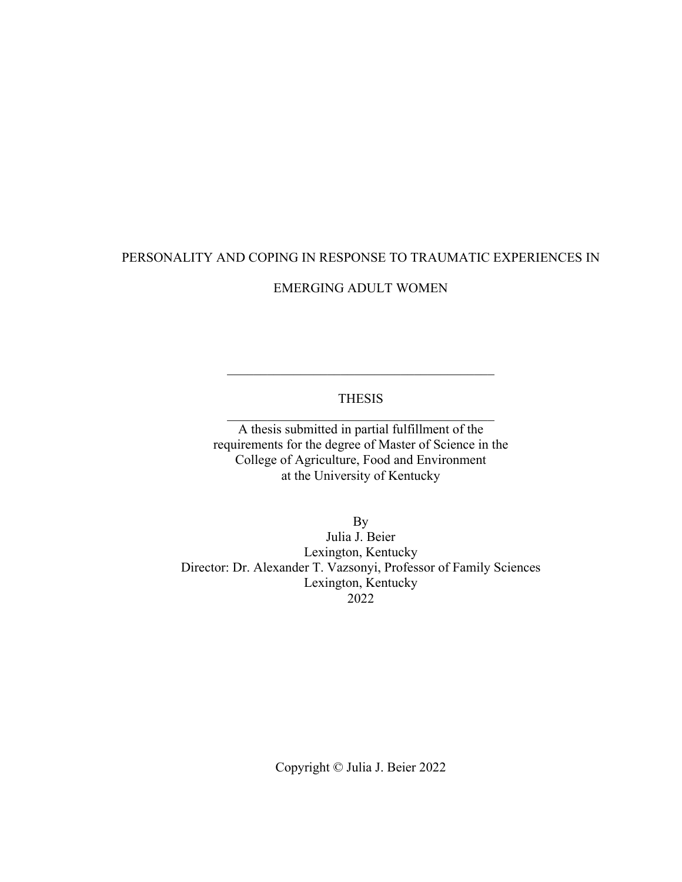# PERSONALITY AND COPING IN RESPONSE TO TRAUMATIC EXPERIENCES IN

## EMERGING ADULT WOMEN

### THESIS  $\mathcal{L}_\mathcal{L}$  , which is a set of the set of the set of the set of the set of the set of the set of the set of the set of the set of the set of the set of the set of the set of the set of the set of the set of the set of

A thesis submitted in partial fulfillment of the requirements for the degree of Master of Science in the College of Agriculture, Food and Environment at the University of Kentucky

By Julia J. Beier Lexington, Kentucky Director: Dr. Alexander T. Vazsonyi, Professor of Family Sciences Lexington, Kentucky 2022

Copyright © Julia J. Beier 2022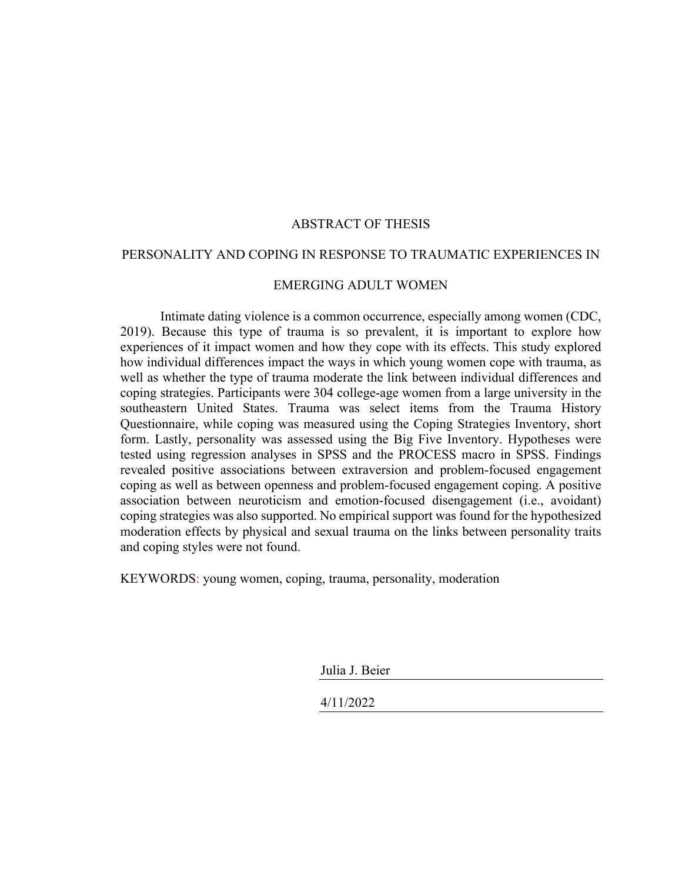#### ABSTRACT OF THESIS

#### PERSONALITY AND COPING IN RESPONSE TO TRAUMATIC EXPERIENCES IN

#### EMERGING ADULT WOMEN

Intimate dating violence is a common occurrence, especially among women (CDC, 2019). Because this type of trauma is so prevalent, it is important to explore how experiences of it impact women and how they cope with its effects. This study explored how individual differences impact the ways in which young women cope with trauma, as well as whether the type of trauma moderate the link between individual differences and coping strategies. Participants were 304 college-age women from a large university in the southeastern United States. Trauma was select items from the Trauma History Questionnaire, while coping was measured using the Coping Strategies Inventory, short form. Lastly, personality was assessed using the Big Five Inventory. Hypotheses were tested using regression analyses in SPSS and the PROCESS macro in SPSS. Findings revealed positive associations between extraversion and problem-focused engagement coping as well as between openness and problem-focused engagement coping. A positive association between neuroticism and emotion-focused disengagement (i.e., avoidant) coping strategies was also supported. No empirical support was found for the hypothesized moderation effects by physical and sexual trauma on the links between personality traits and coping styles were not found.

KEYWORDS: young women, coping, trauma, personality, moderation

Julia J. Beier

4/11/2022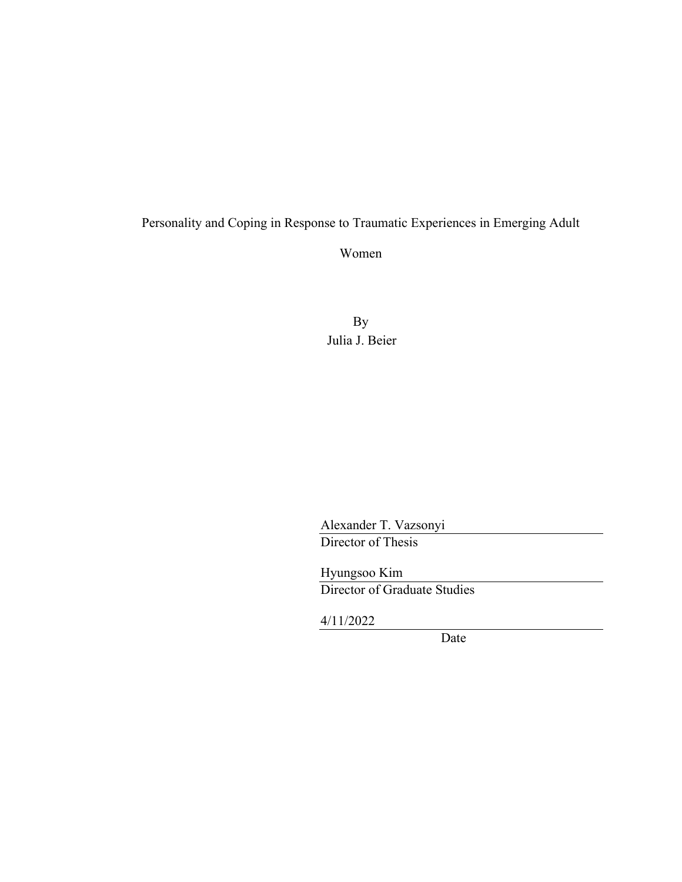# Personality and Coping in Response to Traumatic Experiences in Emerging Adult

Women

By Julia J. Beier

Alexander T. Vazsonyi Director of Thesis

Hyungsoo Kim Director of Graduate Studies

4/11/2022

Date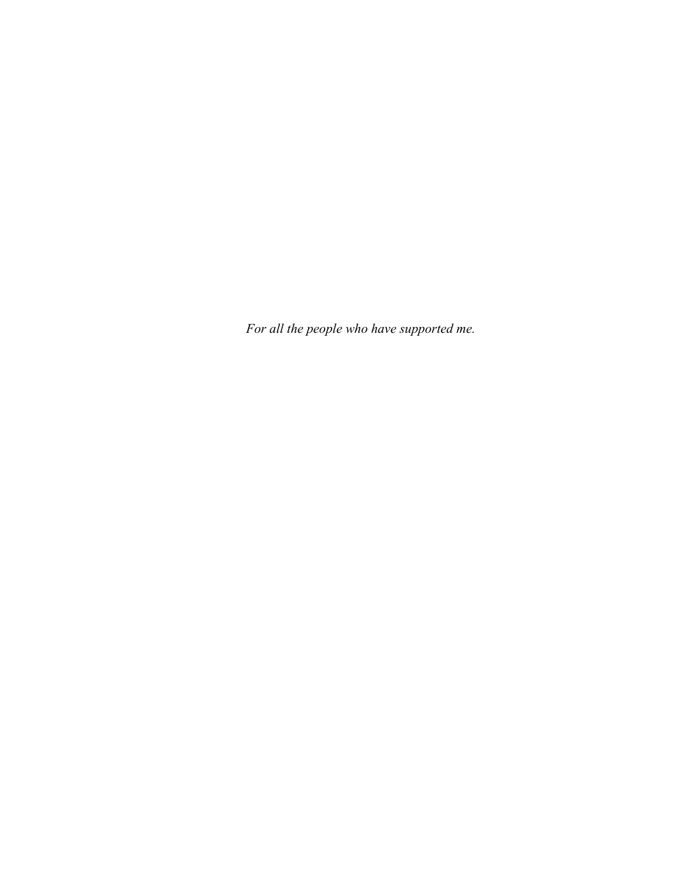*For all the people who have supported me.*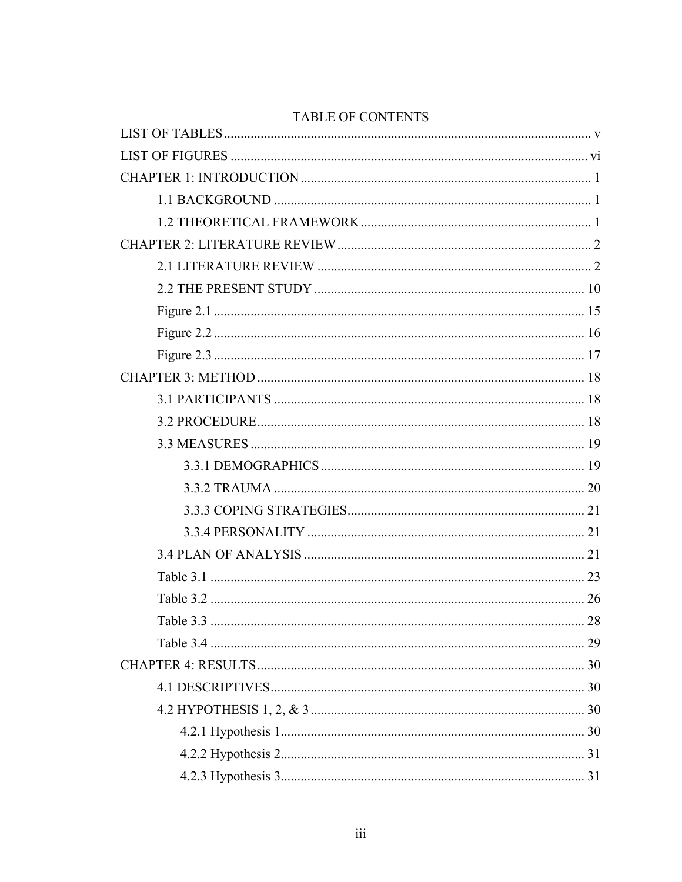# **TABLE OF CONTENTS**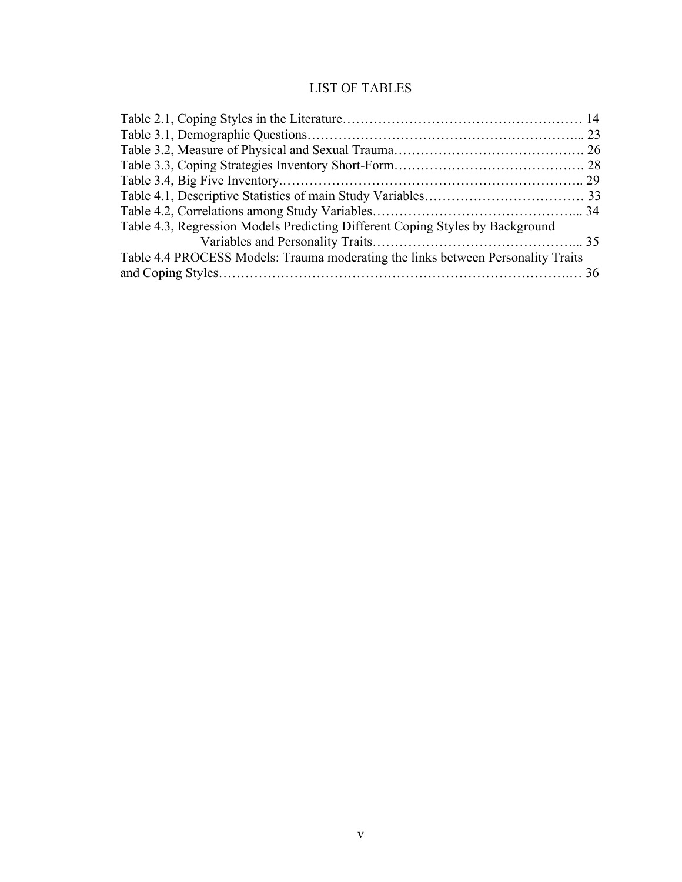# LIST OF TABLES

<span id="page-8-0"></span>

| Table 4.4 PROCESS Models: Trauma moderating the links between Personality Traits |
|----------------------------------------------------------------------------------|
|                                                                                  |
|                                                                                  |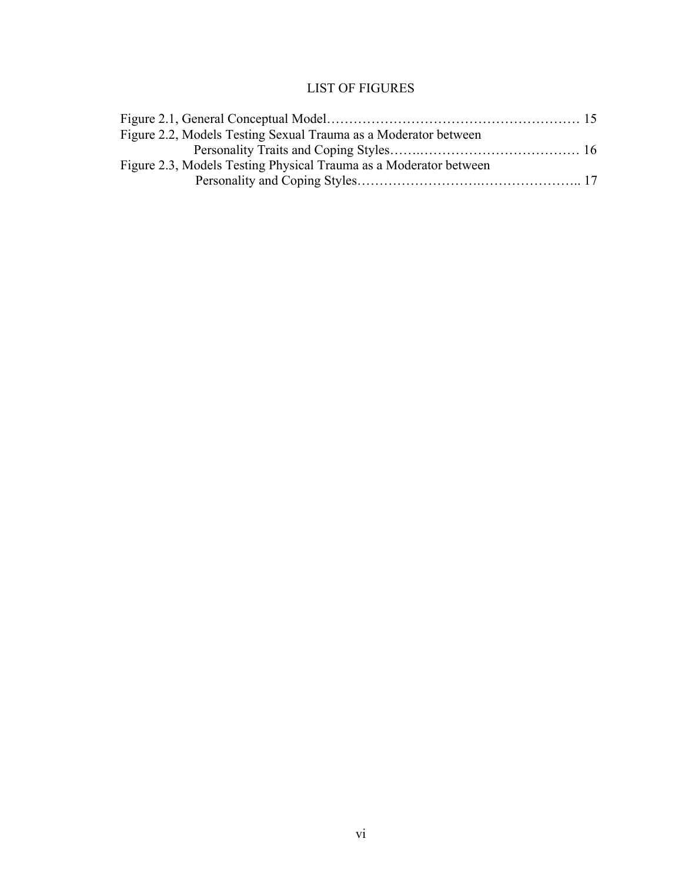# LIST OF FIGURES

<span id="page-9-0"></span>

| Figure 2.2, Models Testing Sexual Trauma as a Moderator between   |  |
|-------------------------------------------------------------------|--|
|                                                                   |  |
| Figure 2.3, Models Testing Physical Trauma as a Moderator between |  |
|                                                                   |  |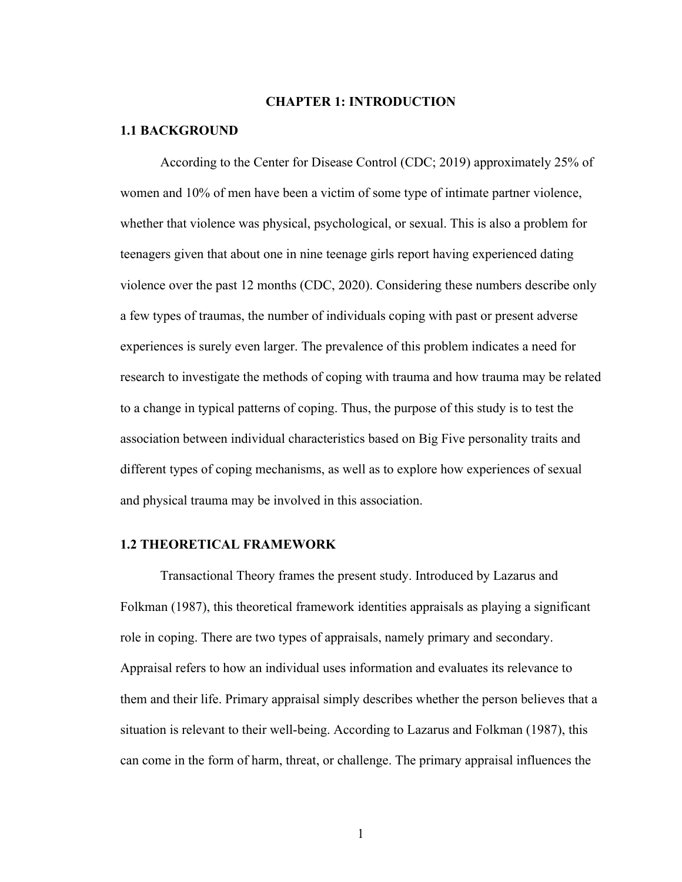#### **CHAPTER 1: INTRODUCTION**

#### <span id="page-10-1"></span><span id="page-10-0"></span>**1.1 BACKGROUND**

According to the Center for Disease Control (CDC; 2019) approximately 25% of women and 10% of men have been a victim of some type of intimate partner violence, whether that violence was physical, psychological, or sexual. This is also a problem for teenagers given that about one in nine teenage girls report having experienced dating violence over the past 12 months (CDC, 2020). Considering these numbers describe only a few types of traumas, the number of individuals coping with past or present adverse experiences is surely even larger. The prevalence of this problem indicates a need for research to investigate the methods of coping with trauma and how trauma may be related to a change in typical patterns of coping. Thus, the purpose of this study is to test the association between individual characteristics based on Big Five personality traits and different types of coping mechanisms, as well as to explore how experiences of sexual and physical trauma may be involved in this association.

#### <span id="page-10-2"></span>**1.2 THEORETICAL FRAMEWORK**

Transactional Theory frames the present study. Introduced by Lazarus and Folkman (1987), this theoretical framework identities appraisals as playing a significant role in coping. There are two types of appraisals, namely primary and secondary. Appraisal refers to how an individual uses information and evaluates its relevance to them and their life. Primary appraisal simply describes whether the person believes that a situation is relevant to their well-being. According to Lazarus and Folkman (1987), this can come in the form of harm, threat, or challenge. The primary appraisal influences the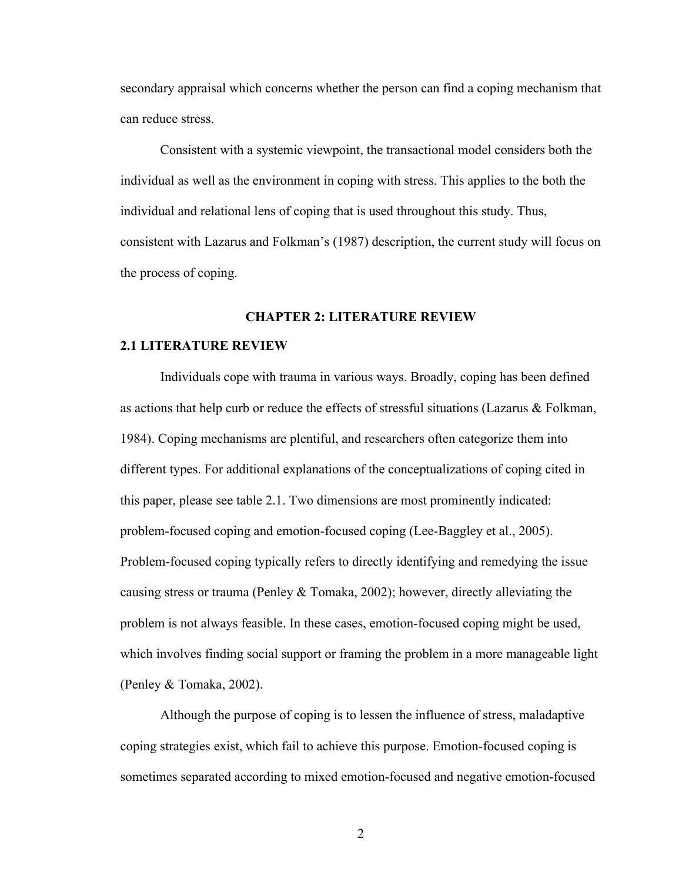secondary appraisal which concerns whether the person can find a coping mechanism that can reduce stress.

Consistent with a systemic viewpoint, the transactional model considers both the individual as well as the environment in coping with stress. This applies to the both the individual and relational lens of coping that is used throughout this study. Thus, consistent with Lazarus and Folkman's (1987) description, the current study will focus on the process of coping.

#### **CHAPTER 2: LITERATURE REVIEW**

#### <span id="page-11-1"></span><span id="page-11-0"></span>**2.1 LITERATURE REVIEW**

Individuals cope with trauma in various ways. Broadly, coping has been defined as actions that help curb or reduce the effects of stressful situations (Lazarus & Folkman, 1984). Coping mechanisms are plentiful, and researchers often categorize them into different types. For additional explanations of the conceptualizations of coping cited in this paper, please see table 2.1. Two dimensions are most prominently indicated: problem-focused coping and emotion-focused coping (Lee-Baggley et al., 2005). Problem-focused coping typically refers to directly identifying and remedying the issue causing stress or trauma (Penley & Tomaka, 2002); however, directly alleviating the problem is not always feasible. In these cases, emotion-focused coping might be used, which involves finding social support or framing the problem in a more manageable light (Penley & Tomaka, 2002).

Although the purpose of coping is to lessen the influence of stress, maladaptive coping strategies exist, which fail to achieve this purpose. Emotion-focused coping is sometimes separated according to mixed emotion-focused and negative emotion-focused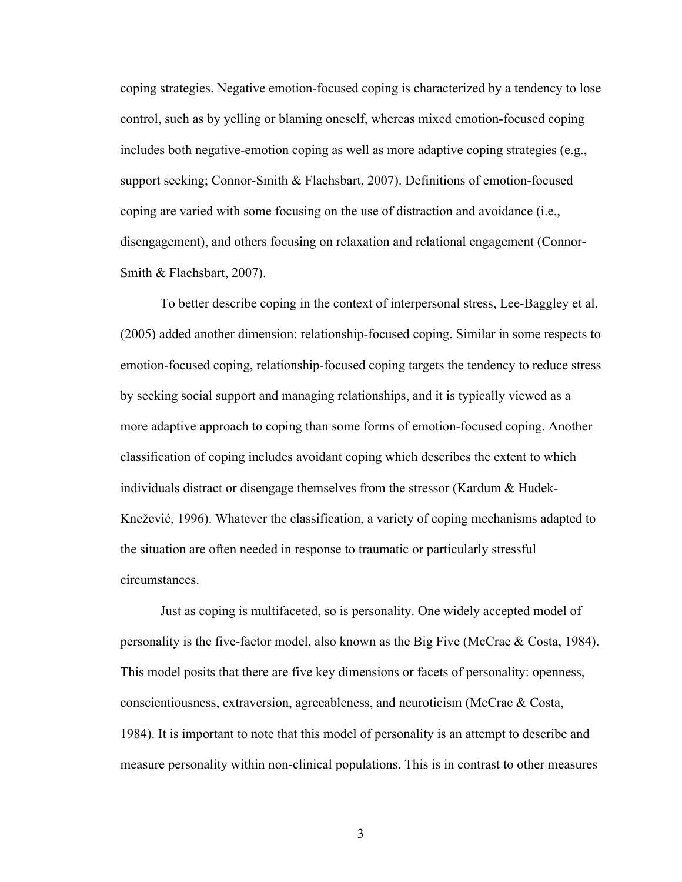coping strategies. Negative emotion-focused coping is characterized by a tendency to lose control, such as by yelling or blaming oneself, whereas mixed emotion-focused coping includes both negative-emotion coping as well as more adaptive coping strategies (e.g., support seeking; Connor-Smith & Flachsbart, 2007). Definitions of emotion-focused coping are varied with some focusing on the use of distraction and avoidance (i.e., disengagement), and others focusing on relaxation and relational engagement (Connor-Smith & Flachsbart, 2007).

To better describe coping in the context of interpersonal stress, Lee-Baggley et al. (2005) added another dimension: relationship-focused coping. Similar in some respects to emotion-focused coping, relationship-focused coping targets the tendency to reduce stress by seeking social support and managing relationships, and it is typically viewed as a more adaptive approach to coping than some forms of emotion-focused coping. Another classification of coping includes avoidant coping which describes the extent to which individuals distract or disengage themselves from the stressor (Kardum & Hudek-Knežević, 1996). Whatever the classification, a variety of coping mechanisms adapted to the situation are often needed in response to traumatic or particularly stressful circumstances.

Just as coping is multifaceted, so is personality. One widely accepted model of personality is the five-factor model, also known as the Big Five (McCrae  $\&$  Costa, 1984). This model posits that there are five key dimensions or facets of personality: openness, conscientiousness, extraversion, agreeableness, and neuroticism (McCrae & Costa, 1984). It is important to note that this model of personality is an attempt to describe and measure personality within non-clinical populations. This is in contrast to other measures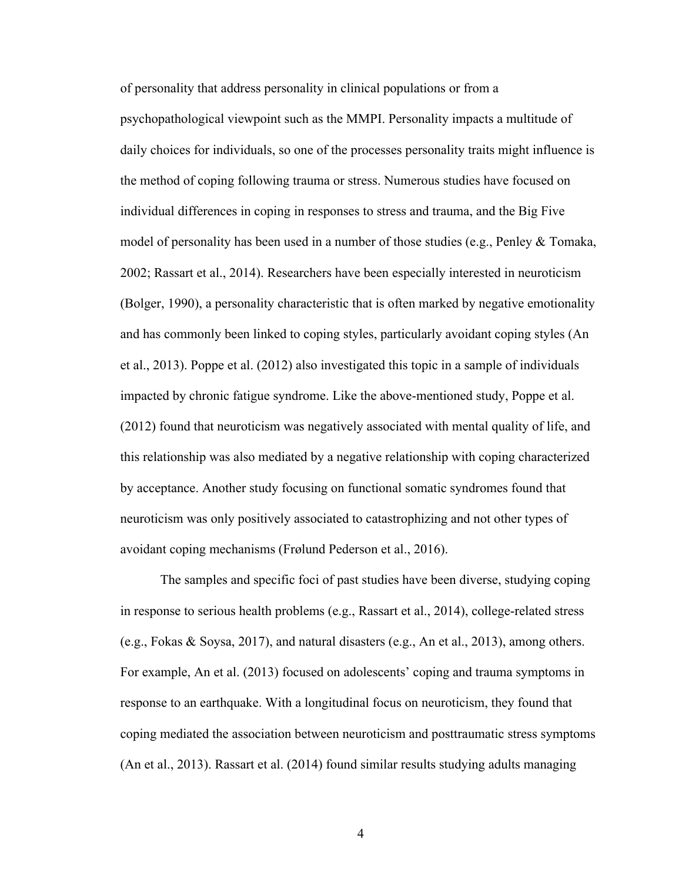of personality that address personality in clinical populations or from a psychopathological viewpoint such as the MMPI. Personality impacts a multitude of daily choices for individuals, so one of the processes personality traits might influence is the method of coping following trauma or stress. Numerous studies have focused on individual differences in coping in responses to stress and trauma, and the Big Five model of personality has been used in a number of those studies (e.g., Penley & Tomaka, 2002; Rassart et al., 2014). Researchers have been especially interested in neuroticism (Bolger, 1990), a personality characteristic that is often marked by negative emotionality and has commonly been linked to coping styles, particularly avoidant coping styles (An et al., 2013). Poppe et al. (2012) also investigated this topic in a sample of individuals impacted by chronic fatigue syndrome. Like the above-mentioned study, Poppe et al. (2012) found that neuroticism was negatively associated with mental quality of life, and this relationship was also mediated by a negative relationship with coping characterized by acceptance. Another study focusing on functional somatic syndromes found that neuroticism was only positively associated to catastrophizing and not other types of avoidant coping mechanisms (Frølund Pederson et al., 2016).

The samples and specific foci of past studies have been diverse, studying coping in response to serious health problems (e.g., Rassart et al., 2014), college-related stress (e.g., Fokas & Soysa, 2017), and natural disasters (e.g., An et al., 2013), among others. For example, An et al. (2013) focused on adolescents' coping and trauma symptoms in response to an earthquake. With a longitudinal focus on neuroticism, they found that coping mediated the association between neuroticism and posttraumatic stress symptoms (An et al., 2013). Rassart et al. (2014) found similar results studying adults managing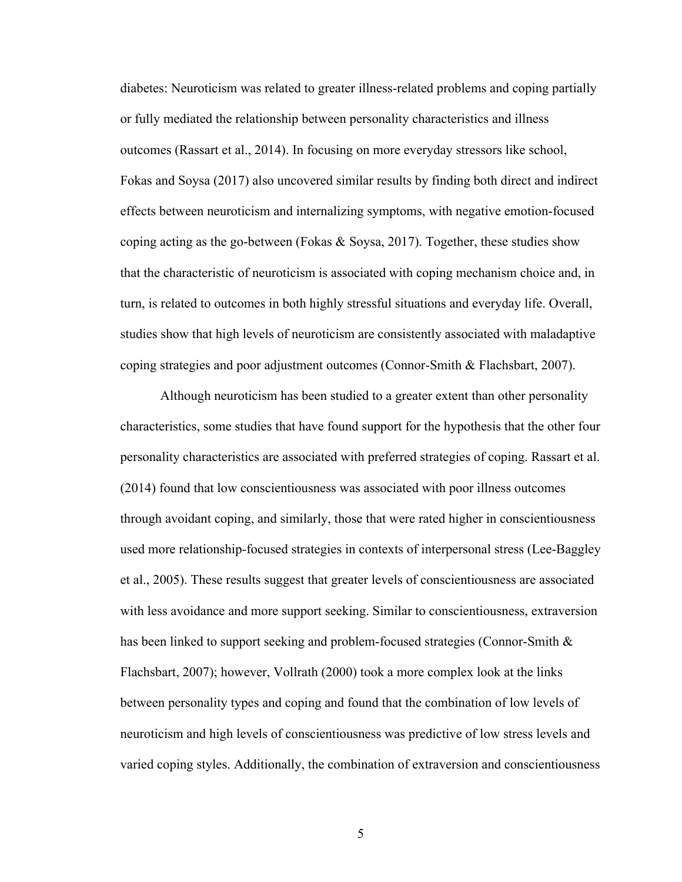diabetes: Neuroticism was related to greater illness-related problems and coping partially or fully mediated the relationship between personality characteristics and illness outcomes (Rassart et al., 2014). In focusing on more everyday stressors like school, Fokas and Soysa (2017) also uncovered similar results by finding both direct and indirect effects between neuroticism and internalizing symptoms, with negative emotion-focused coping acting as the go-between (Fokas & Soysa, 2017). Together, these studies show that the characteristic of neuroticism is associated with coping mechanism choice and, in turn, is related to outcomes in both highly stressful situations and everyday life. Overall, studies show that high levels of neuroticism are consistently associated with maladaptive coping strategies and poor adjustment outcomes (Connor-Smith & Flachsbart, 2007).

Although neuroticism has been studied to a greater extent than other personality characteristics, some studies that have found support for the hypothesis that the other four personality characteristics are associated with preferred strategies of coping. Rassart et al. (2014) found that low conscientiousness was associated with poor illness outcomes through avoidant coping, and similarly, those that were rated higher in conscientiousness used more relationship-focused strategies in contexts of interpersonal stress (Lee-Baggley et al., 2005). These results suggest that greater levels of conscientiousness are associated with less avoidance and more support seeking. Similar to conscientiousness, extraversion has been linked to support seeking and problem-focused strategies (Connor-Smith & Flachsbart, 2007); however, Vollrath (2000) took a more complex look at the links between personality types and coping and found that the combination of low levels of neuroticism and high levels of conscientiousness was predictive of low stress levels and varied coping styles. Additionally, the combination of extraversion and conscientiousness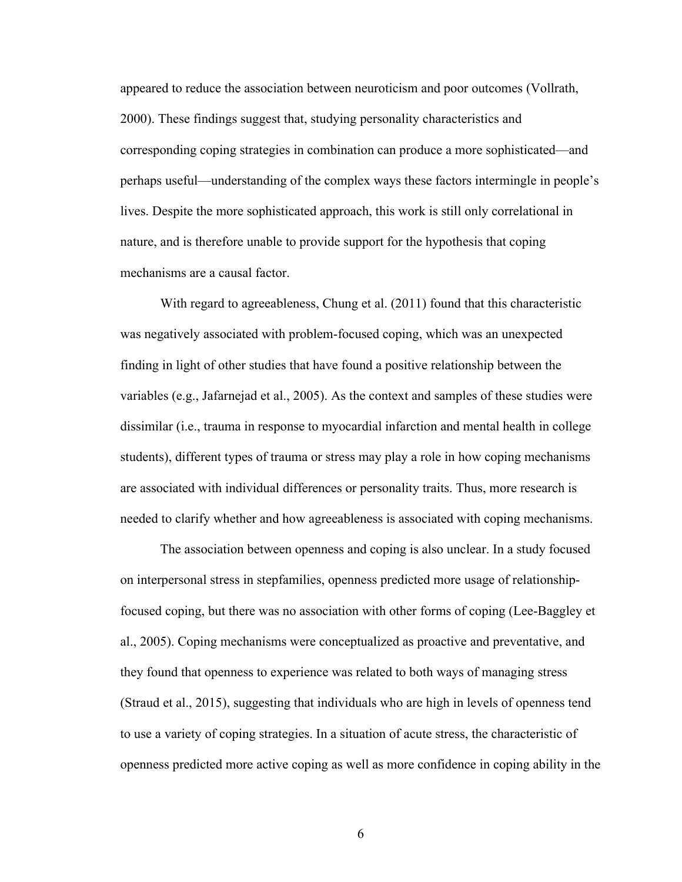appeared to reduce the association between neuroticism and poor outcomes (Vollrath, 2000). These findings suggest that, studying personality characteristics and corresponding coping strategies in combination can produce a more sophisticated—and perhaps useful—understanding of the complex ways these factors intermingle in people's lives. Despite the more sophisticated approach, this work is still only correlational in nature, and is therefore unable to provide support for the hypothesis that coping mechanisms are a causal factor.

With regard to agreeableness, Chung et al. (2011) found that this characteristic was negatively associated with problem-focused coping, which was an unexpected finding in light of other studies that have found a positive relationship between the variables (e.g., Jafarnejad et al., 2005). As the context and samples of these studies were dissimilar (i.e., trauma in response to myocardial infarction and mental health in college students), different types of trauma or stress may play a role in how coping mechanisms are associated with individual differences or personality traits. Thus, more research is needed to clarify whether and how agreeableness is associated with coping mechanisms.

The association between openness and coping is also unclear. In a study focused on interpersonal stress in stepfamilies, openness predicted more usage of relationshipfocused coping, but there was no association with other forms of coping (Lee-Baggley et al., 2005). Coping mechanisms were conceptualized as proactive and preventative, and they found that openness to experience was related to both ways of managing stress (Straud et al., 2015), suggesting that individuals who are high in levels of openness tend to use a variety of coping strategies. In a situation of acute stress, the characteristic of openness predicted more active coping as well as more confidence in coping ability in the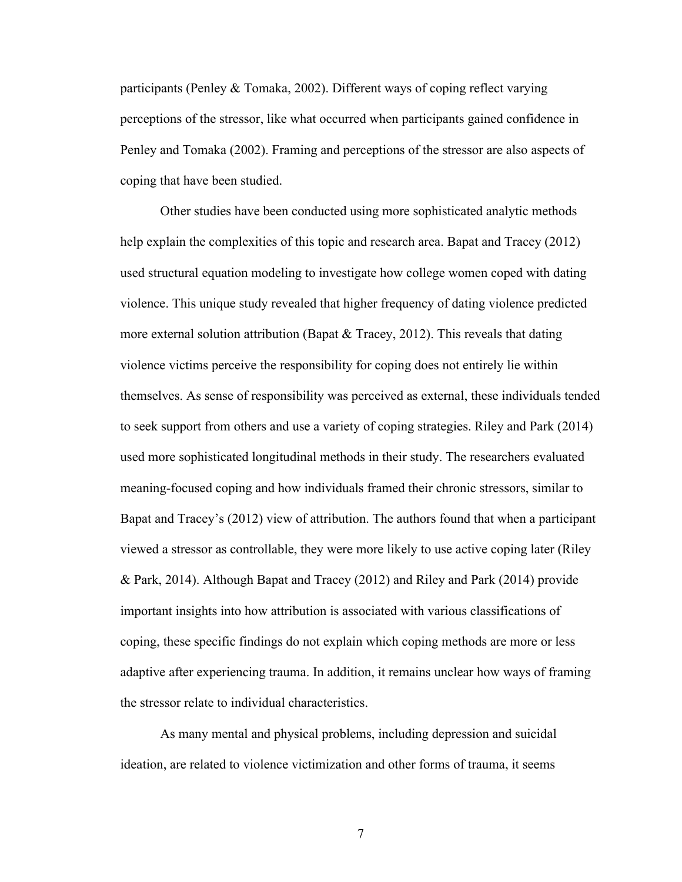participants (Penley & Tomaka, 2002). Different ways of coping reflect varying perceptions of the stressor, like what occurred when participants gained confidence in Penley and Tomaka (2002). Framing and perceptions of the stressor are also aspects of coping that have been studied.

Other studies have been conducted using more sophisticated analytic methods help explain the complexities of this topic and research area. Bapat and Tracey (2012) used structural equation modeling to investigate how college women coped with dating violence. This unique study revealed that higher frequency of dating violence predicted more external solution attribution (Bapat & Tracey, 2012). This reveals that dating violence victims perceive the responsibility for coping does not entirely lie within themselves. As sense of responsibility was perceived as external, these individuals tended to seek support from others and use a variety of coping strategies. Riley and Park (2014) used more sophisticated longitudinal methods in their study. The researchers evaluated meaning-focused coping and how individuals framed their chronic stressors, similar to Bapat and Tracey's (2012) view of attribution. The authors found that when a participant viewed a stressor as controllable, they were more likely to use active coping later (Riley & Park, 2014). Although Bapat and Tracey (2012) and Riley and Park (2014) provide important insights into how attribution is associated with various classifications of coping, these specific findings do not explain which coping methods are more or less adaptive after experiencing trauma. In addition, it remains unclear how ways of framing the stressor relate to individual characteristics.

As many mental and physical problems, including depression and suicidal ideation, are related to violence victimization and other forms of trauma, it seems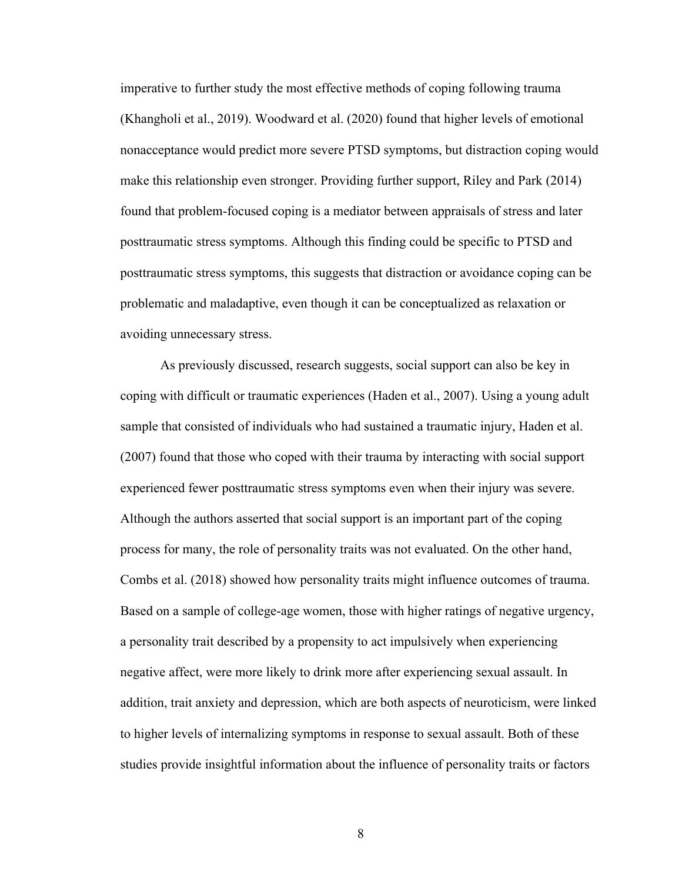imperative to further study the most effective methods of coping following trauma (Khangholi et al., 2019). Woodward et al. (2020) found that higher levels of emotional nonacceptance would predict more severe PTSD symptoms, but distraction coping would make this relationship even stronger. Providing further support, Riley and Park (2014) found that problem-focused coping is a mediator between appraisals of stress and later posttraumatic stress symptoms. Although this finding could be specific to PTSD and posttraumatic stress symptoms, this suggests that distraction or avoidance coping can be problematic and maladaptive, even though it can be conceptualized as relaxation or avoiding unnecessary stress.

As previously discussed, research suggests, social support can also be key in coping with difficult or traumatic experiences (Haden et al., 2007). Using a young adult sample that consisted of individuals who had sustained a traumatic injury, Haden et al. (2007) found that those who coped with their trauma by interacting with social support experienced fewer posttraumatic stress symptoms even when their injury was severe. Although the authors asserted that social support is an important part of the coping process for many, the role of personality traits was not evaluated. On the other hand, Combs et al. (2018) showed how personality traits might influence outcomes of trauma. Based on a sample of college-age women, those with higher ratings of negative urgency, a personality trait described by a propensity to act impulsively when experiencing negative affect, were more likely to drink more after experiencing sexual assault. In addition, trait anxiety and depression, which are both aspects of neuroticism, were linked to higher levels of internalizing symptoms in response to sexual assault. Both of these studies provide insightful information about the influence of personality traits or factors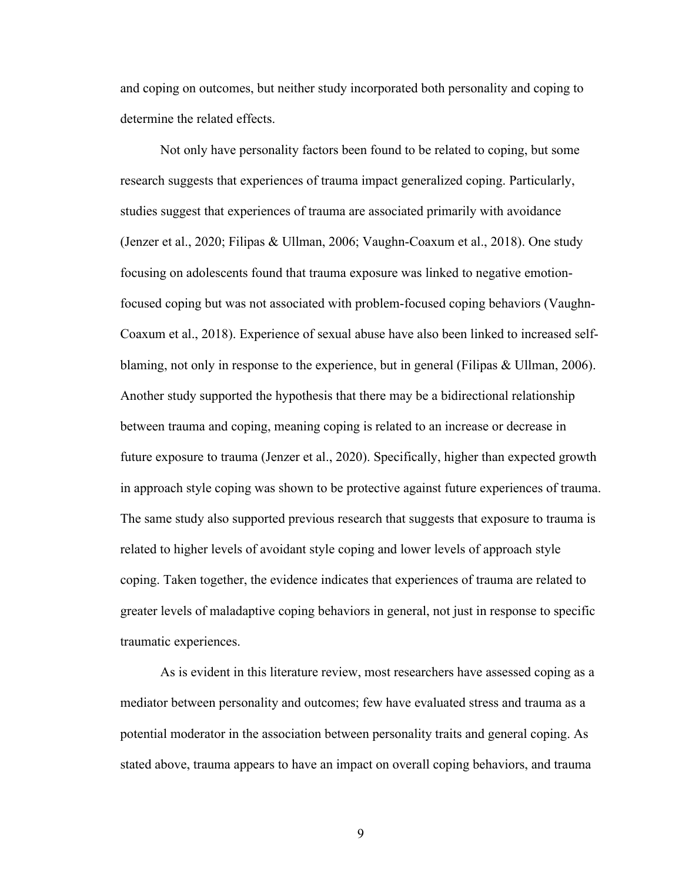and coping on outcomes, but neither study incorporated both personality and coping to determine the related effects.

Not only have personality factors been found to be related to coping, but some research suggests that experiences of trauma impact generalized coping. Particularly, studies suggest that experiences of trauma are associated primarily with avoidance (Jenzer et al., 2020; Filipas & Ullman, 2006; Vaughn-Coaxum et al., 2018). One study focusing on adolescents found that trauma exposure was linked to negative emotionfocused coping but was not associated with problem-focused coping behaviors (Vaughn-Coaxum et al., 2018). Experience of sexual abuse have also been linked to increased selfblaming, not only in response to the experience, but in general (Filipas & Ullman, 2006). Another study supported the hypothesis that there may be a bidirectional relationship between trauma and coping, meaning coping is related to an increase or decrease in future exposure to trauma (Jenzer et al., 2020). Specifically, higher than expected growth in approach style coping was shown to be protective against future experiences of trauma. The same study also supported previous research that suggests that exposure to trauma is related to higher levels of avoidant style coping and lower levels of approach style coping. Taken together, the evidence indicates that experiences of trauma are related to greater levels of maladaptive coping behaviors in general, not just in response to specific traumatic experiences.

As is evident in this literature review, most researchers have assessed coping as a mediator between personality and outcomes; few have evaluated stress and trauma as a potential moderator in the association between personality traits and general coping. As stated above, trauma appears to have an impact on overall coping behaviors, and trauma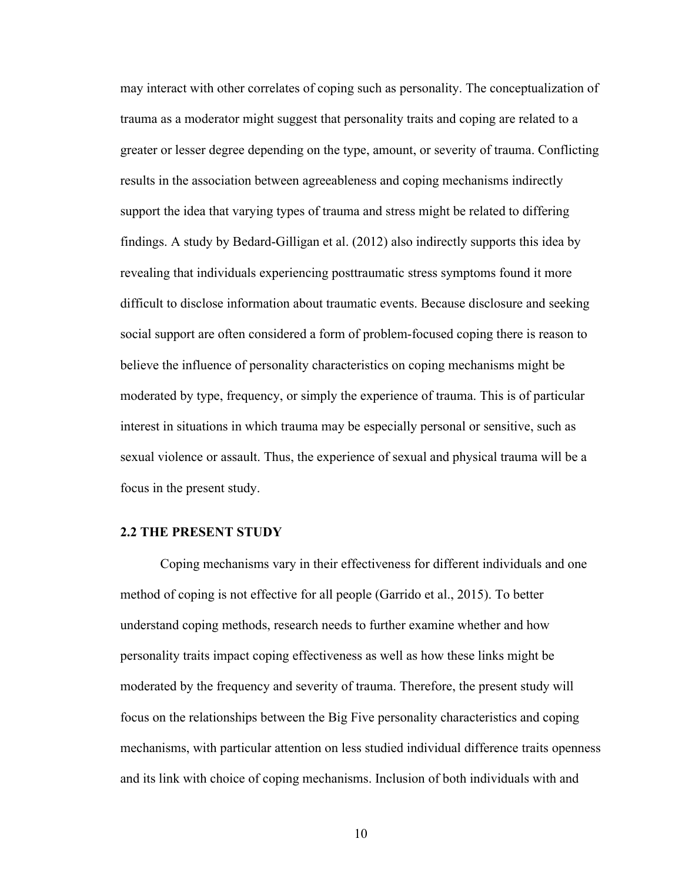may interact with other correlates of coping such as personality. The conceptualization of trauma as a moderator might suggest that personality traits and coping are related to a greater or lesser degree depending on the type, amount, or severity of trauma. Conflicting results in the association between agreeableness and coping mechanisms indirectly support the idea that varying types of trauma and stress might be related to differing findings. A study by Bedard-Gilligan et al. (2012) also indirectly supports this idea by revealing that individuals experiencing posttraumatic stress symptoms found it more difficult to disclose information about traumatic events. Because disclosure and seeking social support are often considered a form of problem-focused coping there is reason to believe the influence of personality characteristics on coping mechanisms might be moderated by type, frequency, or simply the experience of trauma. This is of particular interest in situations in which trauma may be especially personal or sensitive, such as sexual violence or assault. Thus, the experience of sexual and physical trauma will be a focus in the present study.

#### <span id="page-19-0"></span>**2.2 THE PRESENT STUDY**

Coping mechanisms vary in their effectiveness for different individuals and one method of coping is not effective for all people (Garrido et al., 2015). To better understand coping methods, research needs to further examine whether and how personality traits impact coping effectiveness as well as how these links might be moderated by the frequency and severity of trauma. Therefore, the present study will focus on the relationships between the Big Five personality characteristics and coping mechanisms, with particular attention on less studied individual difference traits openness and its link with choice of coping mechanisms. Inclusion of both individuals with and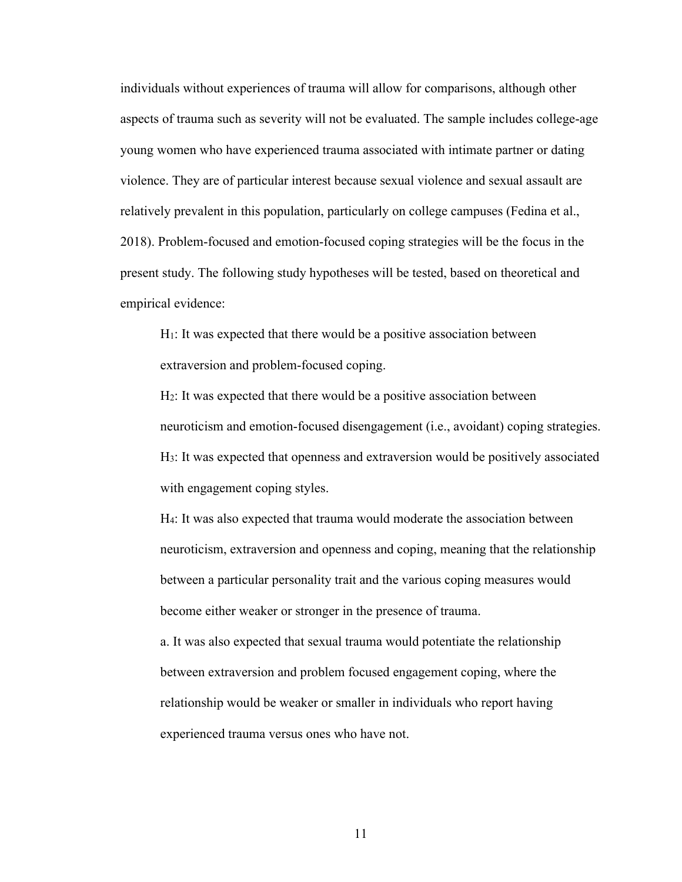individuals without experiences of trauma will allow for comparisons, although other aspects of trauma such as severity will not be evaluated. The sample includes college-age young women who have experienced trauma associated with intimate partner or dating violence. They are of particular interest because sexual violence and sexual assault are relatively prevalent in this population, particularly on college campuses (Fedina et al., 2018). Problem-focused and emotion-focused coping strategies will be the focus in the present study. The following study hypotheses will be tested, based on theoretical and empirical evidence:

H1: It was expected that there would be a positive association between extraversion and problem-focused coping.

H2: It was expected that there would be a positive association between neuroticism and emotion-focused disengagement (i.e., avoidant) coping strategies. H3: It was expected that openness and extraversion would be positively associated with engagement coping styles.

H4: It was also expected that trauma would moderate the association between neuroticism, extraversion and openness and coping, meaning that the relationship between a particular personality trait and the various coping measures would become either weaker or stronger in the presence of trauma.

a. It was also expected that sexual trauma would potentiate the relationship between extraversion and problem focused engagement coping, where the relationship would be weaker or smaller in individuals who report having experienced trauma versus ones who have not.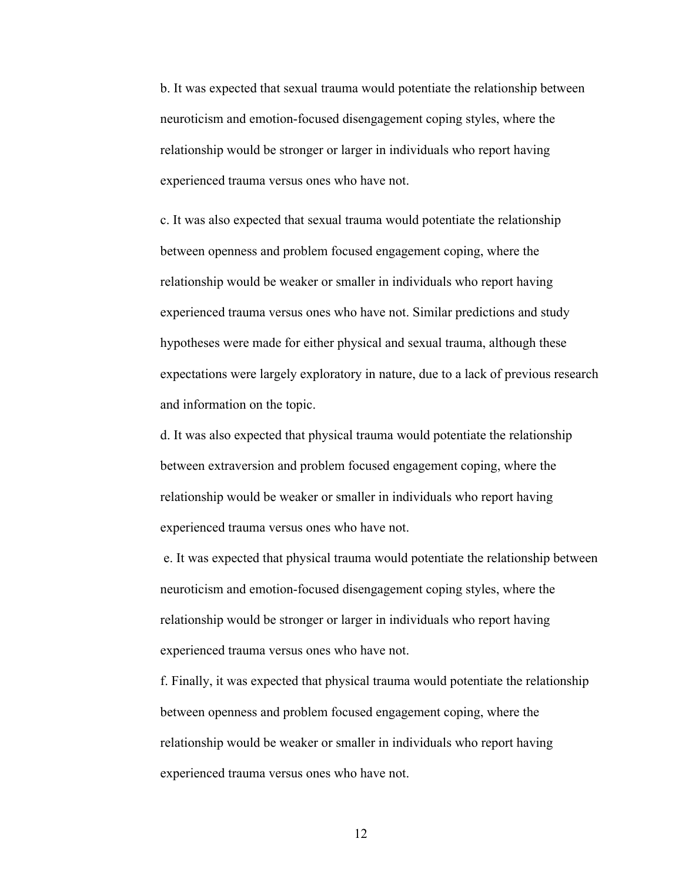b. It was expected that sexual trauma would potentiate the relationship between neuroticism and emotion-focused disengagement coping styles, where the relationship would be stronger or larger in individuals who report having experienced trauma versus ones who have not.

c. It was also expected that sexual trauma would potentiate the relationship between openness and problem focused engagement coping, where the relationship would be weaker or smaller in individuals who report having experienced trauma versus ones who have not. Similar predictions and study hypotheses were made for either physical and sexual trauma, although these expectations were largely exploratory in nature, due to a lack of previous research and information on the topic.

d. It was also expected that physical trauma would potentiate the relationship between extraversion and problem focused engagement coping, where the relationship would be weaker or smaller in individuals who report having experienced trauma versus ones who have not.

e. It was expected that physical trauma would potentiate the relationship between neuroticism and emotion-focused disengagement coping styles, where the relationship would be stronger or larger in individuals who report having experienced trauma versus ones who have not.

f. Finally, it was expected that physical trauma would potentiate the relationship between openness and problem focused engagement coping, where the relationship would be weaker or smaller in individuals who report having experienced trauma versus ones who have not.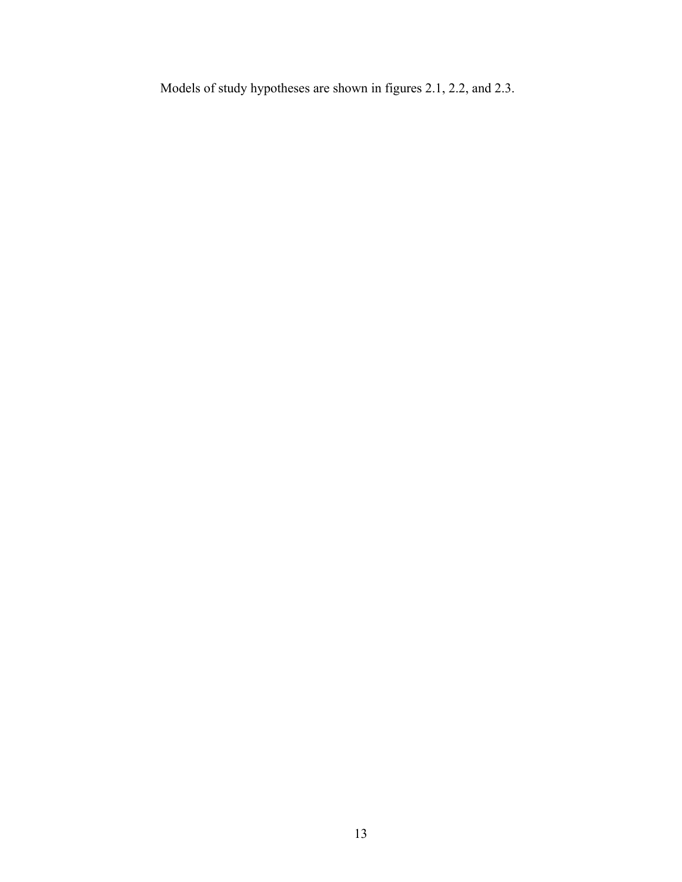Models of study hypotheses are shown in figures 2.1, 2.2, and 2.3.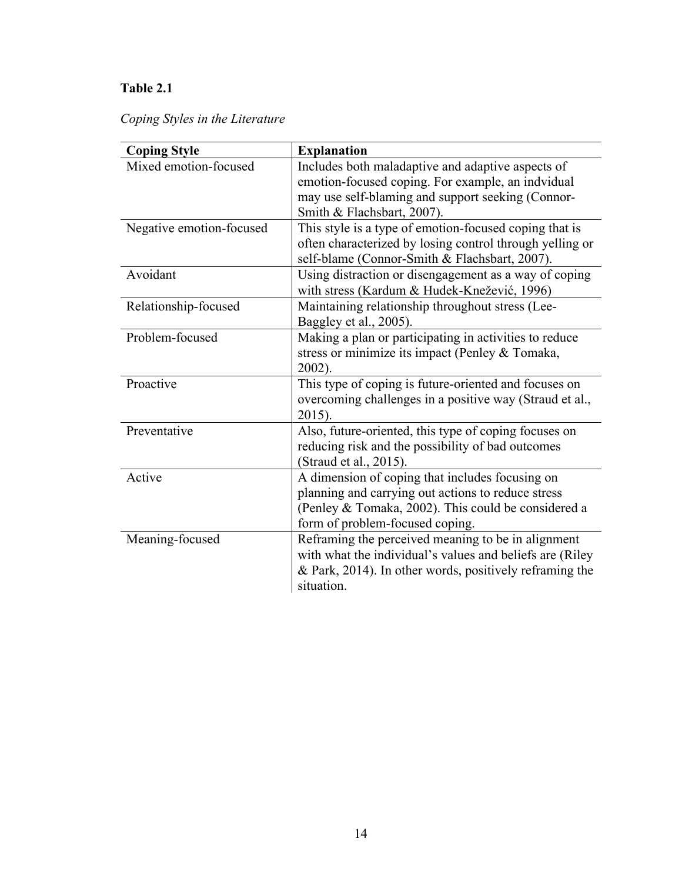# **Table 2.1**

# *Coping Styles in the Literature*

| <b>Coping Style</b>      | <b>Explanation</b>                                       |
|--------------------------|----------------------------------------------------------|
| Mixed emotion-focused    | Includes both maladaptive and adaptive aspects of        |
|                          | emotion-focused coping. For example, an indvidual        |
|                          | may use self-blaming and support seeking (Connor-        |
|                          | Smith & Flachsbart, 2007).                               |
| Negative emotion-focused | This style is a type of emotion-focused coping that is   |
|                          | often characterized by losing control through yelling or |
|                          | self-blame (Connor-Smith & Flachsbart, 2007).            |
| Avoidant                 | Using distraction or disengagement as a way of coping    |
|                          | with stress (Kardum & Hudek-Knežević, 1996)              |
| Relationship-focused     | Maintaining relationship throughout stress (Lee-         |
|                          | Baggley et al., 2005).                                   |
| Problem-focused          | Making a plan or participating in activities to reduce   |
|                          | stress or minimize its impact (Penley & Tomaka,          |
|                          | 2002).                                                   |
| Proactive                | This type of coping is future-oriented and focuses on    |
|                          | overcoming challenges in a positive way (Straud et al.,  |
|                          | 2015).                                                   |
| Preventative             | Also, future-oriented, this type of coping focuses on    |
|                          | reducing risk and the possibility of bad outcomes        |
|                          | (Straud et al., 2015).                                   |
| Active                   | A dimension of coping that includes focusing on          |
|                          | planning and carrying out actions to reduce stress       |
|                          | (Penley & Tomaka, 2002). This could be considered a      |
|                          | form of problem-focused coping.                          |
| Meaning-focused          | Reframing the perceived meaning to be in alignment       |
|                          | with what the individual's values and beliefs are (Riley |
|                          | & Park, 2014). In other words, positively reframing the  |
|                          | situation.                                               |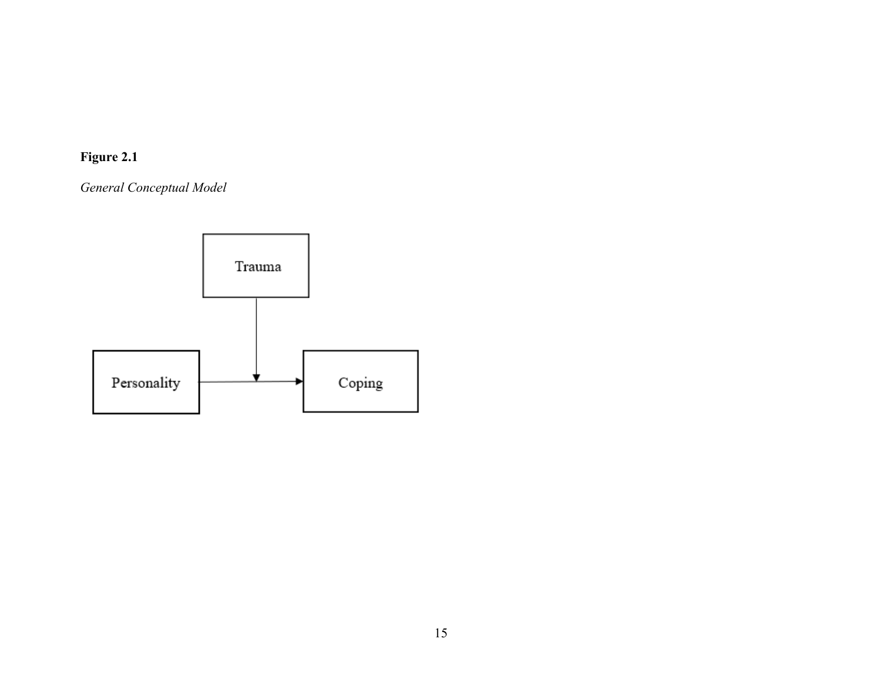# **Figure 2.1**

*General Conceptual Model* 

<span id="page-24-0"></span>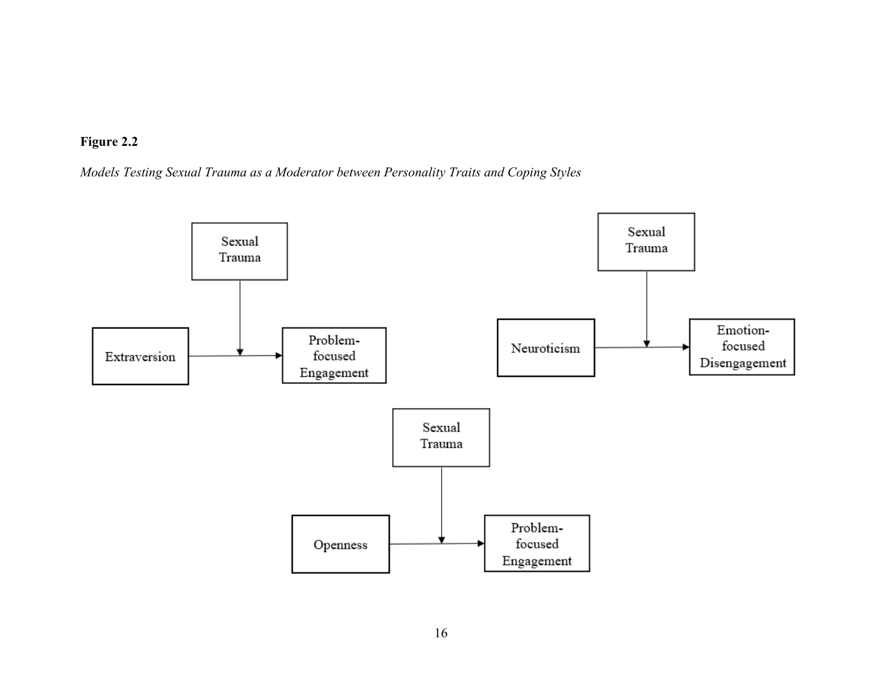

*Models Testing Sexual Trauma as a Moderator between Personality Traits and Coping Styles*

<span id="page-25-0"></span>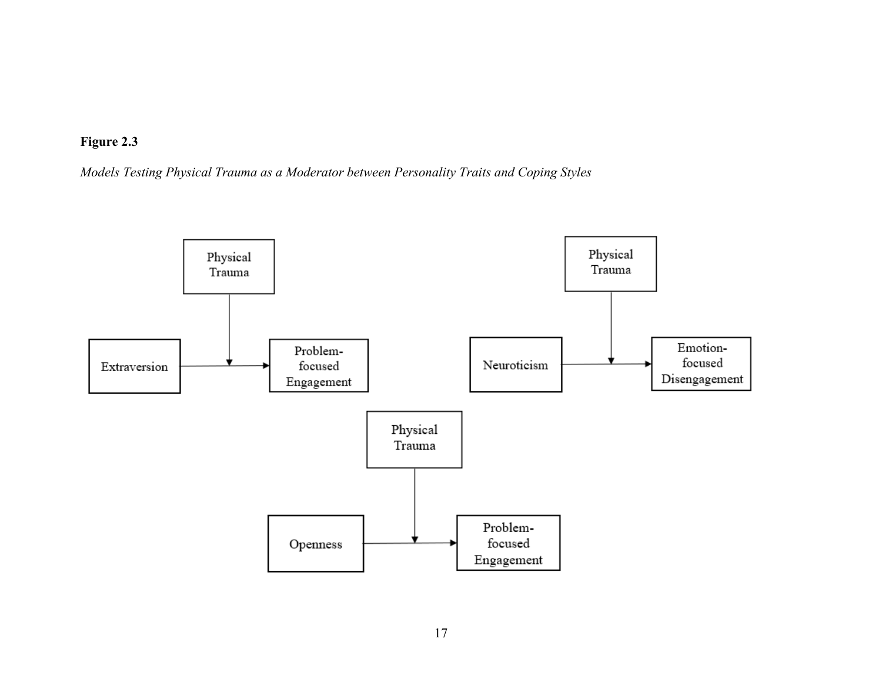

*Models Testing Physical Trauma as a Moderator between Personality Traits and Coping Styles*

<span id="page-26-0"></span>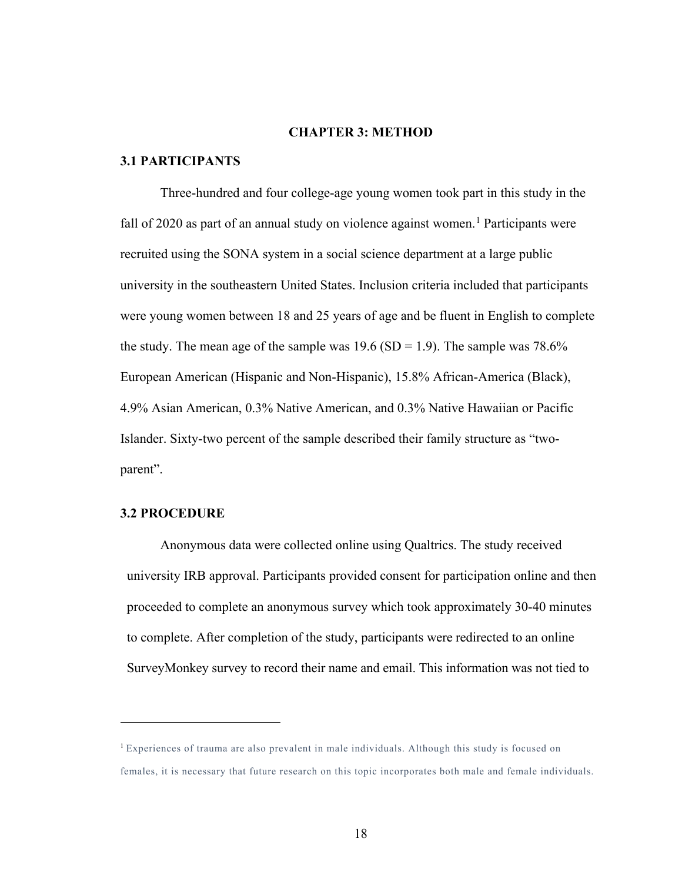#### **CHAPTER 3: METHOD**

#### <span id="page-27-1"></span><span id="page-27-0"></span>**3.1 PARTICIPANTS**

Three-hundred and four college-age young women took part in this study in the fall of 2020 as part of an annual study on violence against women.<sup>[1](#page-27-3)</sup> Participants were recruited using the SONA system in a social science department at a large public university in the southeastern United States. Inclusion criteria included that participants were young women between 18 and 25 years of age and be fluent in English to complete the study. The mean age of the sample was  $19.6$  (SD = 1.9). The sample was 78.6% European American (Hispanic and Non-Hispanic), 15.8% African-America (Black), 4.9% Asian American, 0.3% Native American, and 0.3% Native Hawaiian or Pacific Islander. Sixty-two percent of the sample described their family structure as "twoparent".

#### <span id="page-27-2"></span>**3.2 PROCEDURE**

Anonymous data were collected online using Qualtrics. The study received university IRB approval. Participants provided consent for participation online and then proceeded to complete an anonymous survey which took approximately 30-40 minutes to complete. After completion of the study, participants were redirected to an online SurveyMonkey survey to record their name and email. This information was not tied to

<span id="page-27-3"></span><sup>&</sup>lt;sup>1</sup> Experiences of trauma are also prevalent in male individuals. Although this study is focused on females, it is necessary that future research on this topic incorporates both male and female individuals.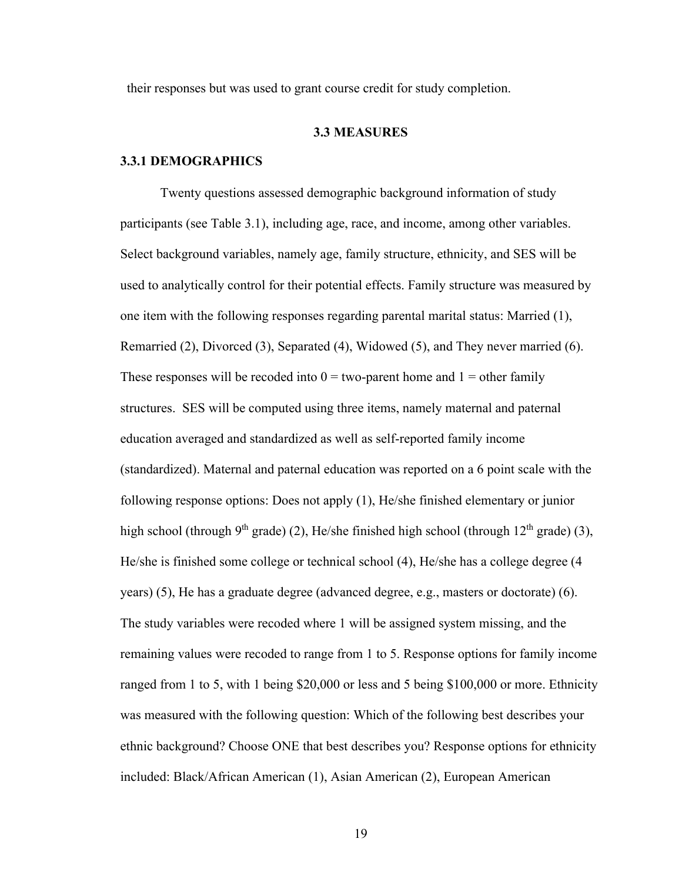<span id="page-28-0"></span>their responses but was used to grant course credit for study completion.

#### **3.3 MEASURES**

#### <span id="page-28-1"></span>**3.3.1 DEMOGRAPHICS**

Twenty questions assessed demographic background information of study participants (see Table 3.1), including age, race, and income, among other variables. Select background variables, namely age, family structure, ethnicity, and SES will be used to analytically control for their potential effects. Family structure was measured by one item with the following responses regarding parental marital status: Married (1), Remarried (2), Divorced (3), Separated (4), Widowed (5), and They never married (6). These responses will be recoded into  $0 = two$ -parent home and  $1 = other family$ structures. SES will be computed using three items, namely maternal and paternal education averaged and standardized as well as self-reported family income (standardized). Maternal and paternal education was reported on a 6 point scale with the following response options: Does not apply (1), He/she finished elementary or junior high school (through 9<sup>th</sup> grade) (2), He/she finished high school (through 12<sup>th</sup> grade) (3), He/she is finished some college or technical school (4), He/she has a college degree (4 years) (5), He has a graduate degree (advanced degree, e.g., masters or doctorate) (6). The study variables were recoded where 1 will be assigned system missing, and the remaining values were recoded to range from 1 to 5. Response options for family income ranged from 1 to 5, with 1 being \$20,000 or less and 5 being \$100,000 or more. Ethnicity was measured with the following question: Which of the following best describes your ethnic background? Choose ONE that best describes you? Response options for ethnicity included: Black/African American (1), Asian American (2), European American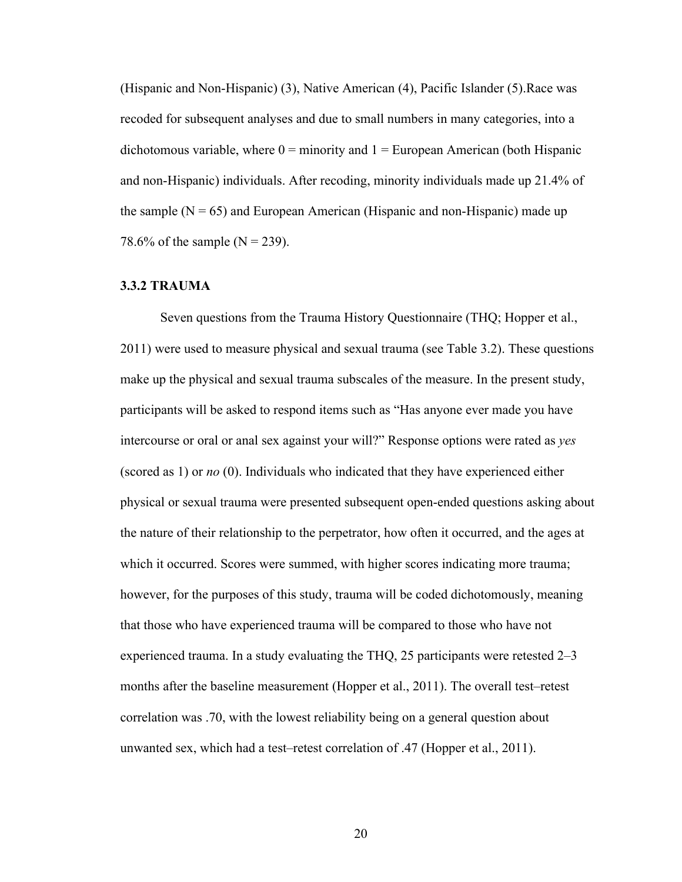(Hispanic and Non-Hispanic) (3), Native American (4), Pacific Islander (5).Race was recoded for subsequent analyses and due to small numbers in many categories, into a dichotomous variable, where  $0 =$  minority and  $1 =$  European American (both Hispanic and non-Hispanic) individuals. After recoding, minority individuals made up 21.4% of the sample  $(N = 65)$  and European American (Hispanic and non-Hispanic) made up 78.6% of the sample ( $N = 239$ ).

#### <span id="page-29-0"></span>**3.3.2 TRAUMA**

Seven questions from the Trauma History Questionnaire (THQ; Hopper et al., 2011) were used to measure physical and sexual trauma (see Table 3.2). These questions make up the physical and sexual trauma subscales of the measure. In the present study, participants will be asked to respond items such as "Has anyone ever made you have intercourse or oral or anal sex against your will?" Response options were rated as *yes* (scored as 1) or *no* (0). Individuals who indicated that they have experienced either physical or sexual trauma were presented subsequent open-ended questions asking about the nature of their relationship to the perpetrator, how often it occurred, and the ages at which it occurred. Scores were summed, with higher scores indicating more trauma; however, for the purposes of this study, trauma will be coded dichotomously, meaning that those who have experienced trauma will be compared to those who have not experienced trauma. In a study evaluating the THQ, 25 participants were retested 2–3 months after the baseline measurement (Hopper et al., 2011). The overall test–retest correlation was .70, with the lowest reliability being on a general question about unwanted sex, which had a test–retest correlation of .47 (Hopper et al., 2011).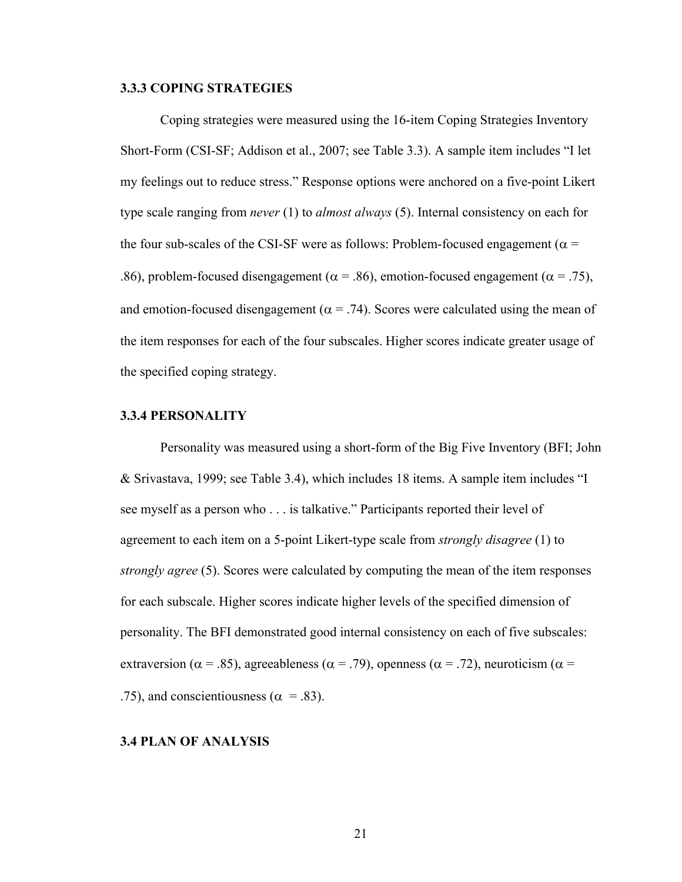#### <span id="page-30-0"></span>**3.3.3 COPING STRATEGIES**

Coping strategies were measured using the 16-item Coping Strategies Inventory Short-Form (CSI-SF; Addison et al., 2007; see Table 3.3). A sample item includes "I let my feelings out to reduce stress." Response options were anchored on a five-point Likert type scale ranging from *never* (1) to *almost always* (5). Internal consistency on each for the four sub-scales of the CSI-SF were as follows: Problem-focused engagement ( $\alpha$  = .86), problem-focused disengagement ( $\alpha$  = .86), emotion-focused engagement ( $\alpha$  = .75), and emotion-focused disengagement ( $\alpha$  = .74). Scores were calculated using the mean of the item responses for each of the four subscales. Higher scores indicate greater usage of the specified coping strategy.

#### <span id="page-30-1"></span>**3.3.4 PERSONALITY**

Personality was measured using a short-form of the Big Five Inventory (BFI; John & Srivastava, 1999; see Table 3.4), which includes 18 items. A sample item includes "I see myself as a person who . . . is talkative." Participants reported their level of agreement to each item on a 5-point Likert-type scale from *strongly disagree* (1) to *strongly agree* (5). Scores were calculated by computing the mean of the item responses for each subscale. Higher scores indicate higher levels of the specified dimension of personality. The BFI demonstrated good internal consistency on each of five subscales: extraversion ( $\alpha = .85$ ), agreeableness ( $\alpha = .79$ ), openness ( $\alpha = .72$ ), neuroticism ( $\alpha =$ .75), and conscientiousness ( $\alpha = .83$ ).

#### <span id="page-30-2"></span>**3.4 PLAN OF ANALYSIS**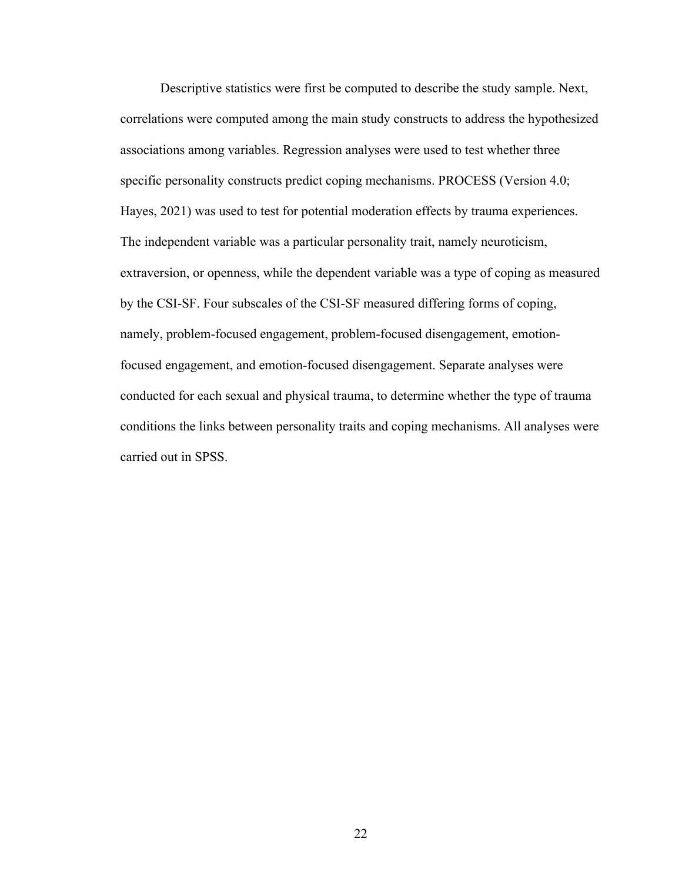Descriptive statistics were first be computed to describe the study sample. Next, correlations were computed among the main study constructs to address the hypothesized associations among variables. Regression analyses were used to test whether three specific personality constructs predict coping mechanisms. PROCESS (Version 4.0; Hayes, 2021) was used to test for potential moderation effects by trauma experiences. The independent variable was a particular personality trait, namely neuroticism, extraversion, or openness, while the dependent variable was a type of coping as measured by the CSI-SF. Four subscales of the CSI-SF measured differing forms of coping, namely, problem-focused engagement, problem-focused disengagement, emotionfocused engagement, and emotion-focused disengagement. Separate analyses were conducted for each sexual and physical trauma, to determine whether the type of trauma conditions the links between personality traits and coping mechanisms. All analyses were carried out in SPSS.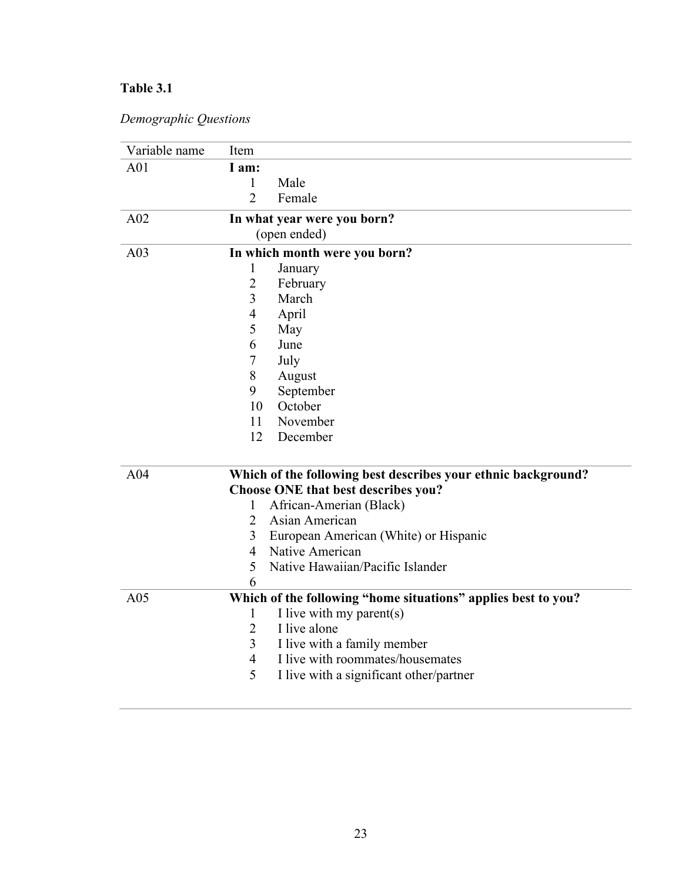# <span id="page-32-0"></span>**Table 3.1**

| Demographic Questions |  |
|-----------------------|--|
|-----------------------|--|

| Variable name   | Item                                                          |
|-----------------|---------------------------------------------------------------|
| A <sub>01</sub> | I am:                                                         |
|                 | Male<br>1                                                     |
|                 | $\overline{2}$<br>Female                                      |
| A02             | In what year were you born?                                   |
|                 | (open ended)                                                  |
| A03             | In which month were you born?                                 |
|                 | 1<br>January                                                  |
|                 | $\overline{2}$<br>February                                    |
|                 | $\overline{3}$<br>March                                       |
|                 | $\overline{4}$<br>April                                       |
|                 | 5<br>May                                                      |
|                 | 6<br>June                                                     |
|                 | $\tau$<br>July                                                |
|                 | 8<br>August                                                   |
|                 | 9<br>September                                                |
|                 | 10<br>October                                                 |
|                 | 11<br>November                                                |
|                 | 12<br>December                                                |
| A04             | Which of the following best describes your ethnic background? |
|                 | Choose ONE that best describes you?                           |
|                 | African-Amerian (Black)<br>1                                  |
|                 | $\overline{2}$<br>Asian American                              |
|                 | 3<br>European American (White) or Hispanic                    |
|                 | Native American<br>$\overline{4}$                             |
|                 | 5<br>Native Hawaiian/Pacific Islander                         |
|                 | 6                                                             |
| A05             | Which of the following "home situations" applies best to you? |
|                 | I live with my parent(s)<br>1                                 |
|                 | 2<br>I live alone                                             |
|                 | I live with a family member<br>3                              |
|                 | I live with roommates/housemates<br>$\overline{4}$            |
|                 | 5<br>I live with a significant other/partner                  |
|                 |                                                               |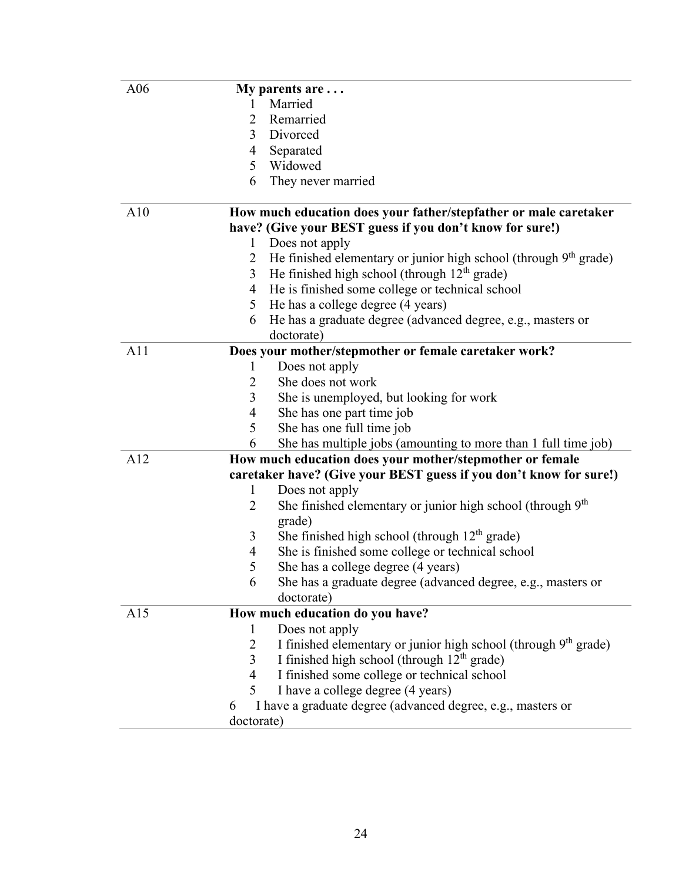| A06 | My parents are $\dots$ |                                                                          |  |  |  |
|-----|------------------------|--------------------------------------------------------------------------|--|--|--|
|     | 1                      | Married                                                                  |  |  |  |
|     | 2                      | Remarried                                                                |  |  |  |
|     | 3                      | Divorced                                                                 |  |  |  |
|     | $\overline{4}$         | Separated                                                                |  |  |  |
|     | 5 <sup>1</sup>         | Widowed                                                                  |  |  |  |
|     | 6                      | They never married                                                       |  |  |  |
| A10 |                        | How much education does your father/stepfather or male caretaker         |  |  |  |
|     |                        | have? (Give your BEST guess if you don't know for sure!)                 |  |  |  |
|     | $\mathbf{1}$           | Does not apply                                                           |  |  |  |
|     | 2                      | He finished elementary or junior high school (through $9th$ grade)       |  |  |  |
|     | 3                      | He finished high school (through $12th$ grade)                           |  |  |  |
|     | 4                      | He is finished some college or technical school                          |  |  |  |
|     | 5                      | He has a college degree (4 years)                                        |  |  |  |
|     | 6                      | He has a graduate degree (advanced degree, e.g., masters or              |  |  |  |
|     |                        | doctorate)                                                               |  |  |  |
| A11 |                        | Does your mother/stepmother or female caretaker work?                    |  |  |  |
|     | 1                      | Does not apply                                                           |  |  |  |
|     | 2                      | She does not work                                                        |  |  |  |
|     | 3                      | She is unemployed, but looking for work                                  |  |  |  |
|     | 4                      | She has one part time job                                                |  |  |  |
|     | 5                      | She has one full time job                                                |  |  |  |
|     | 6                      | She has multiple jobs (amounting to more than 1 full time job)           |  |  |  |
| A12 |                        | How much education does your mother/stepmother or female                 |  |  |  |
|     |                        | caretaker have? (Give your BEST guess if you don't know for sure!)       |  |  |  |
|     | 1                      | Does not apply                                                           |  |  |  |
|     | 2                      | She finished elementary or junior high school (through 9 <sup>th</sup> ) |  |  |  |
|     |                        | grade)                                                                   |  |  |  |
|     | 3                      | She finished high school (through $12th$ grade)                          |  |  |  |
|     | 4                      | She is finished some college or technical school                         |  |  |  |
|     | 5                      | She has a college degree (4 years)                                       |  |  |  |
|     | 6                      | She has a graduate degree (advanced degree, e.g., masters or             |  |  |  |
|     |                        | doctorate)                                                               |  |  |  |
| A15 |                        | How much education do you have?                                          |  |  |  |
|     | 1                      | Does not apply                                                           |  |  |  |
|     | 2                      | I finished elementary or junior high school (through $9th$ grade)        |  |  |  |
|     | $\overline{3}$         | I finished high school (through 12 <sup>th</sup> grade)                  |  |  |  |
|     | 4                      | I finished some college or technical school                              |  |  |  |
|     | 5                      | I have a college degree (4 years)                                        |  |  |  |
|     | 6                      | I have a graduate degree (advanced degree, e.g., masters or              |  |  |  |
|     | doctorate)             |                                                                          |  |  |  |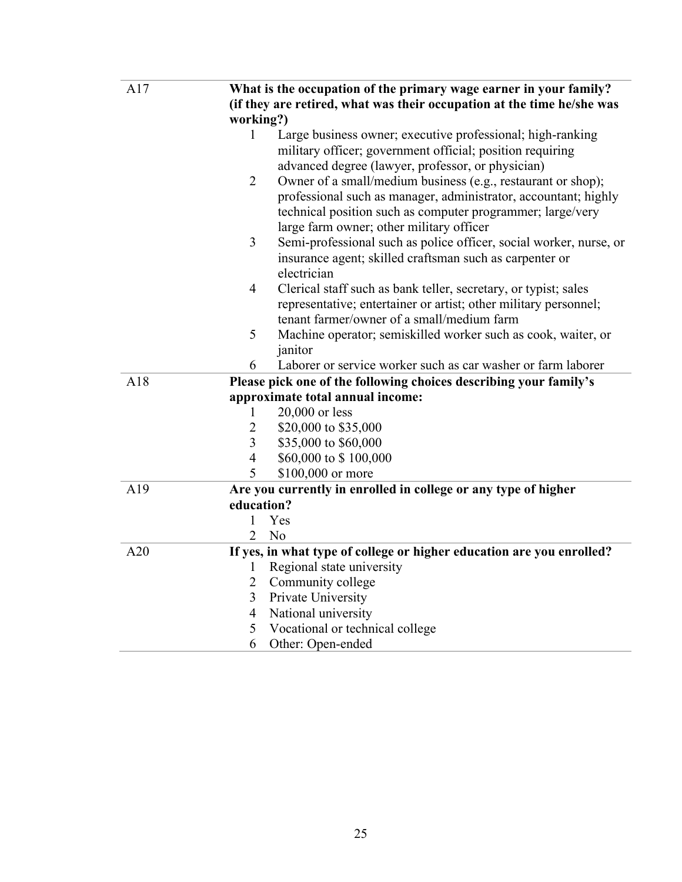| A17 | What is the occupation of the primary wage earner in your family?                 |  |  |  |  |
|-----|-----------------------------------------------------------------------------------|--|--|--|--|
|     | (if they are retired, what was their occupation at the time he/she was            |  |  |  |  |
|     | working?)                                                                         |  |  |  |  |
|     | Large business owner; executive professional; high-ranking<br>1                   |  |  |  |  |
|     | military officer; government official; position requiring                         |  |  |  |  |
|     | advanced degree (lawyer, professor, or physician)                                 |  |  |  |  |
|     | Owner of a small/medium business (e.g., restaurant or shop);<br>2                 |  |  |  |  |
|     | professional such as manager, administrator, accountant; highly                   |  |  |  |  |
|     | technical position such as computer programmer; large/very                        |  |  |  |  |
|     | large farm owner; other military officer                                          |  |  |  |  |
|     | 3<br>Semi-professional such as police officer, social worker, nurse, or           |  |  |  |  |
|     | insurance agent; skilled craftsman such as carpenter or                           |  |  |  |  |
|     | electrician                                                                       |  |  |  |  |
|     | $\overline{4}$<br>Clerical staff such as bank teller, secretary, or typist; sales |  |  |  |  |
|     | representative; entertainer or artist; other military personnel;                  |  |  |  |  |
|     | tenant farmer/owner of a small/medium farm                                        |  |  |  |  |
|     | 5<br>Machine operator; semiskilled worker such as cook, waiter, or                |  |  |  |  |
|     | janitor                                                                           |  |  |  |  |
|     | Laborer or service worker such as car washer or farm laborer<br>6                 |  |  |  |  |
| A18 | Please pick one of the following choices describing your family's                 |  |  |  |  |
|     | approximate total annual income:                                                  |  |  |  |  |
|     | $20,000$ or less<br>1                                                             |  |  |  |  |
|     | $\overline{2}$<br>\$20,000 to \$35,000                                            |  |  |  |  |
|     | 3<br>\$35,000 to \$60,000                                                         |  |  |  |  |
|     | \$60,000 to \$100,000<br>4                                                        |  |  |  |  |
|     | 5<br>\$100,000 or more                                                            |  |  |  |  |
| A19 | Are you currently in enrolled in college or any type of higher                    |  |  |  |  |
|     | education?                                                                        |  |  |  |  |
|     | 1<br>Yes                                                                          |  |  |  |  |
|     | $\overline{2}$<br>N <sub>o</sub>                                                  |  |  |  |  |
| A20 | If yes, in what type of college or higher education are you enrolled?             |  |  |  |  |
|     | Regional state university<br>1                                                    |  |  |  |  |
|     | $\overline{2}$<br>Community college                                               |  |  |  |  |
|     | 3<br>Private University                                                           |  |  |  |  |
|     | 4<br>National university                                                          |  |  |  |  |
|     | 5<br>Vocational or technical college                                              |  |  |  |  |
|     | 6<br>Other: Open-ended                                                            |  |  |  |  |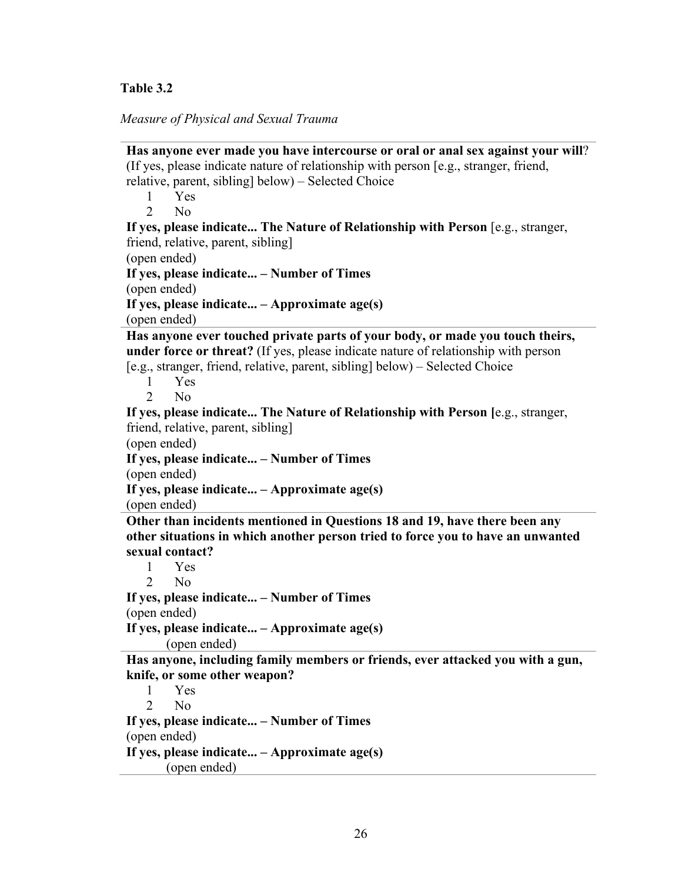### <span id="page-35-0"></span>**Table 3.2**

*Measure of Physical and Sexual Trauma*

**Has anyone ever made you have intercourse or oral or anal sex against your will**? (If yes, please indicate nature of relationship with person [e.g., stranger, friend, relative, parent, sibling] below) – Selected Choice 1 Yes 2 No **If yes, please indicate... The Nature of Relationship with Person** [e.g., stranger, friend, relative, parent, sibling] (open ended) **If yes, please indicate... – Number of Times** (open ended) **If yes, please indicate... – Approximate age(s)** (open ended) **Has anyone ever touched private parts of your body, or made you touch theirs, under force or threat?** (If yes, please indicate nature of relationship with person [e.g., stranger, friend, relative, parent, sibling] below) – Selected Choice 1 Yes 2 No **If yes, please indicate... The Nature of Relationship with Person [**e.g., stranger, friend, relative, parent, sibling] (open ended) **If yes, please indicate... – Number of Times** (open ended) **If yes, please indicate... – Approximate age(s)** (open ended) **Other than incidents mentioned in Questions 18 and 19, have there been any other situations in which another person tried to force you to have an unwanted sexual contact?**  1 Yes 2 No **If yes, please indicate... – Number of Times** (open ended) **If yes, please indicate... – Approximate age(s)** (open ended) **Has anyone, including family members or friends, ever attacked you with a gun, knife, or some other weapon?**  1 Yes 2 No **If yes, please indicate... – Number of Times** (open ended) **If yes, please indicate... – Approximate age(s)** (open ended)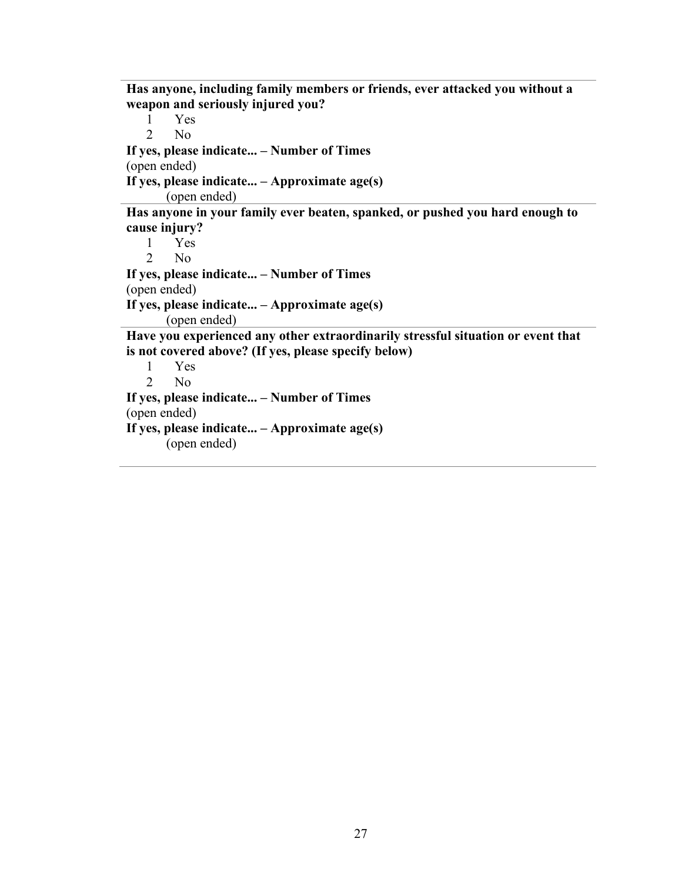**Has anyone, including family members or friends, ever attacked you without a weapon and seriously injured you?**  1 Yes

2 No

**If yes, please indicate... – Number of Times** (open ended)

**If yes, please indicate... – Approximate age(s)**

(open ended)

**Has anyone in your family ever beaten, spanked, or pushed you hard enough to cause injury?** 

```
1 Yes
   2 No
If yes, please indicate... – Number of Times
(open ended)
If yes, please indicate... – Approximate age(s)
       (open ended)
Have you experienced any other extraordinarily stressful situation or event that
```
**is not covered above? (If yes, please specify below)** 

1 Yes 2 No **If yes, please indicate... – Number of Times** (open ended) **If yes, please indicate... – Approximate age(s)** (open ended)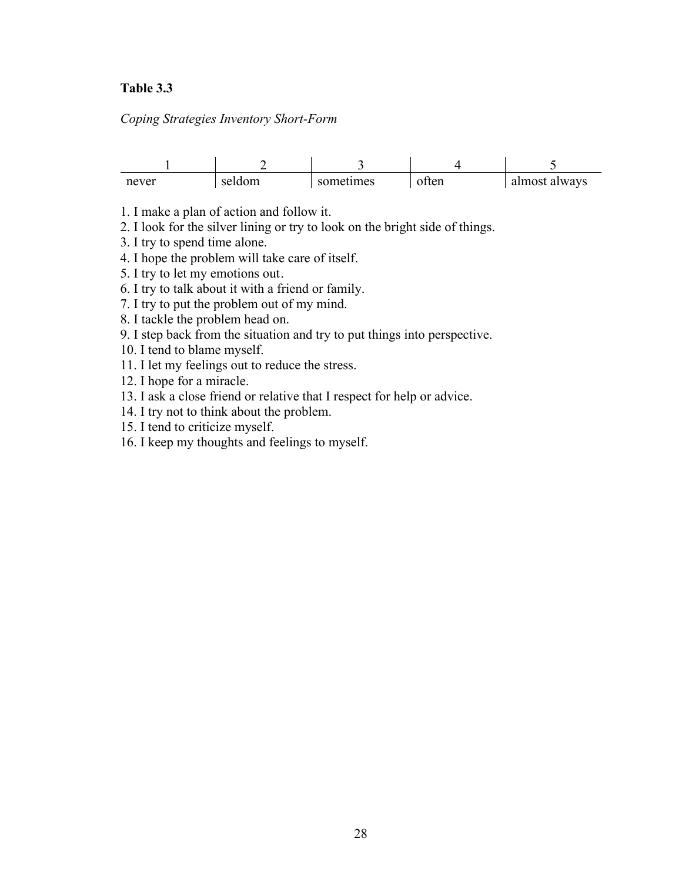### <span id="page-37-0"></span>**Table 3.3**

*Coping Strategies Inventory Short-Form*

| never | seldom | sometimes | ten | almost always |
|-------|--------|-----------|-----|---------------|

1. I make a plan of action and follow it.

2. I look for the silver lining or try to look on the bright side of things.

3. I try to spend time alone.

4. I hope the problem will take care of itself.

5. I try to let my emotions out.

6. I try to talk about it with a friend or family.

7. I try to put the problem out of my mind.

8. I tackle the problem head on.

9. I step back from the situation and try to put things into perspective.

10. I tend to blame myself.

11. I let my feelings out to reduce the stress.

12. I hope for a miracle.

13. I ask a close friend or relative that I respect for help or advice.

14. I try not to think about the problem.

15. I tend to criticize myself.

16. I keep my thoughts and feelings to myself.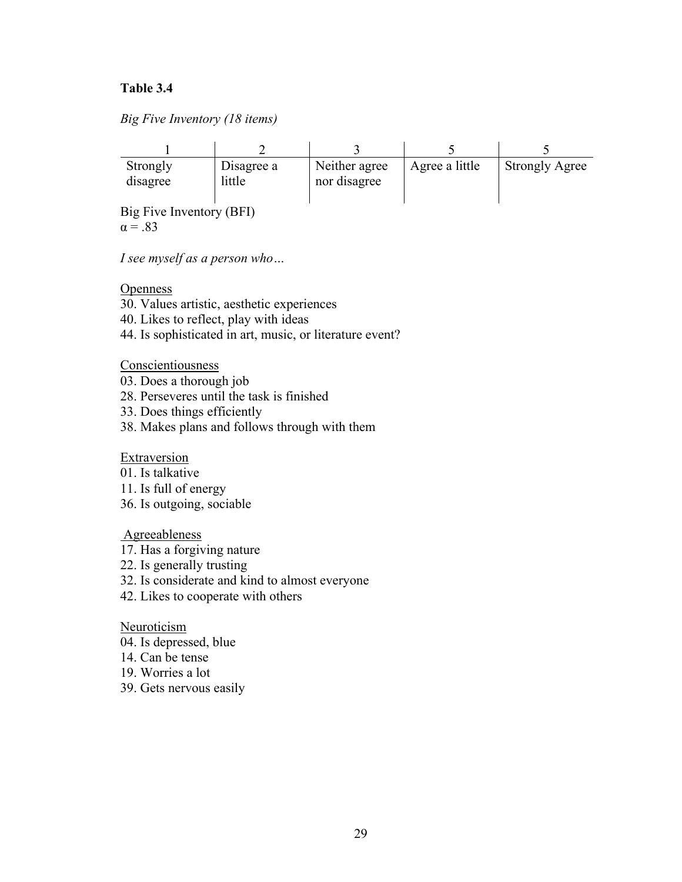## <span id="page-38-0"></span>**Table 3.4**

| Big Five Inventory (18 items) |  |  |
|-------------------------------|--|--|
|-------------------------------|--|--|

| Strongly<br>disagree     | Disagree a<br>little | Neither agree<br>nor disagree | Agree a little | <b>Strongly Agree</b> |  |  |
|--------------------------|----------------------|-------------------------------|----------------|-----------------------|--|--|
| Big Five Inventory (BFI) |                      |                               |                |                       |  |  |

 $\alpha = .83$ 

*I see myself as a person who…*

**Openness** 

- 30. Values artistic, aesthetic experiences
- 40. Likes to reflect, play with ideas
- 44. Is sophisticated in art, music, or literature event?

**Conscientiousness** 

- 03. Does a thorough job
- 28. Perseveres until the task is finished
- 33. Does things efficiently
- 38. Makes plans and follows through with them

Extraversion

- 01. Is talkative
- 11. Is full of energy
- 36. Is outgoing, sociable

Agreeableness

- 17. Has a forgiving nature
- 22. Is generally trusting
- 32. Is considerate and kind to almost everyone
- 42. Likes to cooperate with others

**Neuroticism** 

- 04. Is depressed, blue
- 14. Can be tense
- 19. Worries a lot
- 39. Gets nervous easily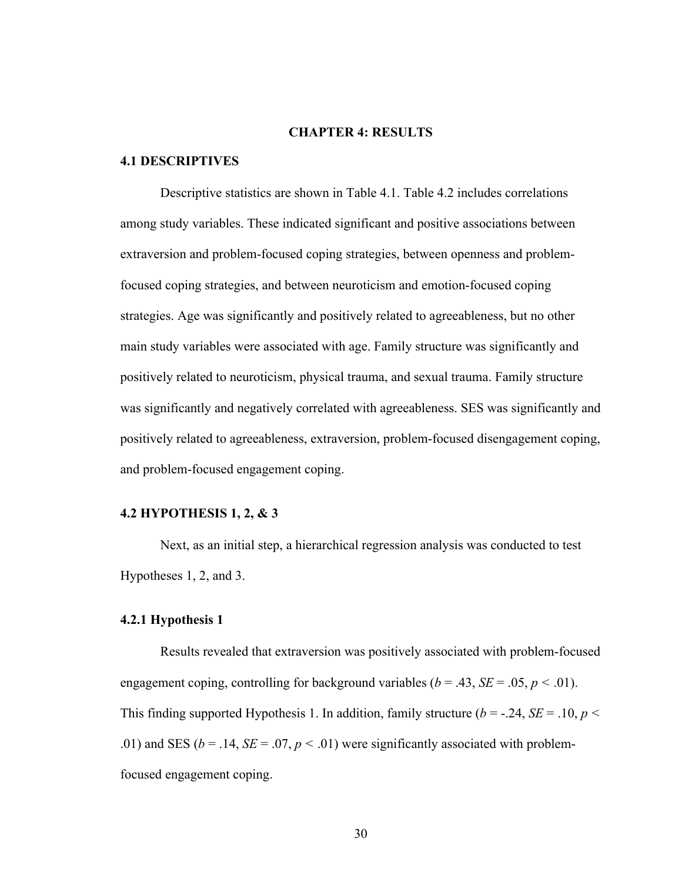#### **CHAPTER 4: RESULTS**

#### <span id="page-39-1"></span><span id="page-39-0"></span>**4.1 DESCRIPTIVES**

Descriptive statistics are shown in Table 4.1. Table 4.2 includes correlations among study variables. These indicated significant and positive associations between extraversion and problem-focused coping strategies, between openness and problemfocused coping strategies, and between neuroticism and emotion-focused coping strategies. Age was significantly and positively related to agreeableness, but no other main study variables were associated with age. Family structure was significantly and positively related to neuroticism, physical trauma, and sexual trauma. Family structure was significantly and negatively correlated with agreeableness. SES was significantly and positively related to agreeableness, extraversion, problem-focused disengagement coping, and problem-focused engagement coping.

#### <span id="page-39-2"></span>**4.2 HYPOTHESIS 1, 2, & 3**

Next, as an initial step, a hierarchical regression analysis was conducted to test Hypotheses 1, 2, and 3.

#### <span id="page-39-3"></span>**4.2.1 Hypothesis 1**

Results revealed that extraversion was positively associated with problem-focused engagement coping, controlling for background variables ( $b = .43$ ,  $SE = .05$ ,  $p < .01$ ). This finding supported Hypothesis 1. In addition, family structure  $(b = -.24, SE = .10, p <$ .01) and SES ( $b = .14$ ,  $SE = .07$ ,  $p < .01$ ) were significantly associated with problemfocused engagement coping.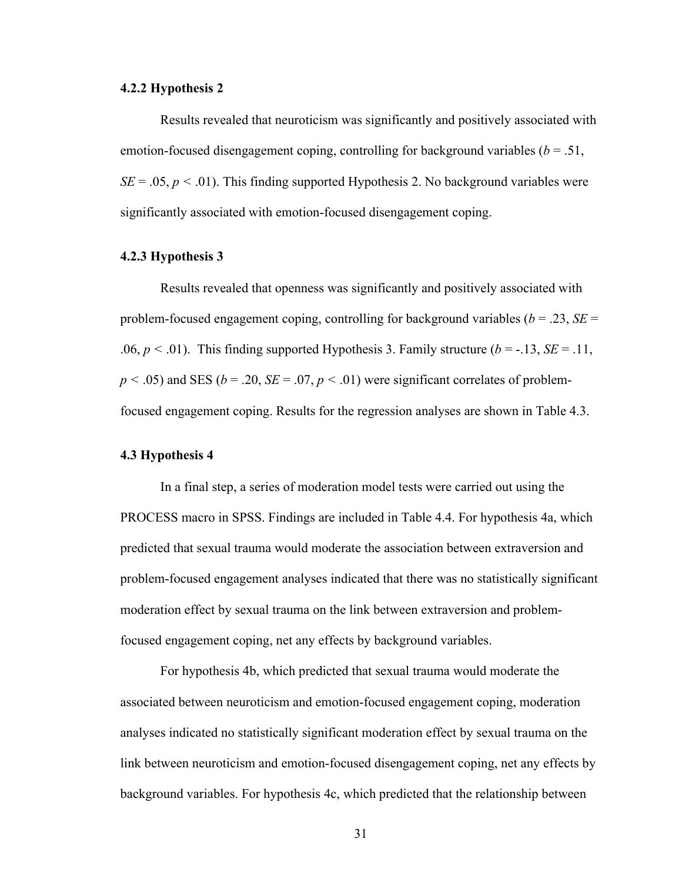#### <span id="page-40-0"></span>**4.2.2 Hypothesis 2**

Results revealed that neuroticism was significantly and positively associated with emotion-focused disengagement coping, controlling for background variables (*b* = .51,  $SE = .05$ ,  $p < .01$ ). This finding supported Hypothesis 2. No background variables were significantly associated with emotion-focused disengagement coping.

#### <span id="page-40-1"></span>**4.2.3 Hypothesis 3**

Results revealed that openness was significantly and positively associated with problem-focused engagement coping, controlling for background variables (*b* = .23, *SE* = .06,  $p < .01$ ). This finding supported Hypothesis 3. Family structure ( $b = -.13$ ,  $SE = .11$ ,  $p < .05$ ) and SES ( $b = .20$ ,  $SE = .07$ ,  $p < .01$ ) were significant correlates of problemfocused engagement coping. Results for the regression analyses are shown in Table 4.3.

#### <span id="page-40-2"></span>**4.3 Hypothesis 4**

In a final step, a series of moderation model tests were carried out using the PROCESS macro in SPSS. Findings are included in Table 4.4. For hypothesis 4a, which predicted that sexual trauma would moderate the association between extraversion and problem-focused engagement analyses indicated that there was no statistically significant moderation effect by sexual trauma on the link between extraversion and problemfocused engagement coping, net any effects by background variables.

For hypothesis 4b, which predicted that sexual trauma would moderate the associated between neuroticism and emotion-focused engagement coping, moderation analyses indicated no statistically significant moderation effect by sexual trauma on the link between neuroticism and emotion-focused disengagement coping, net any effects by background variables. For hypothesis 4c, which predicted that the relationship between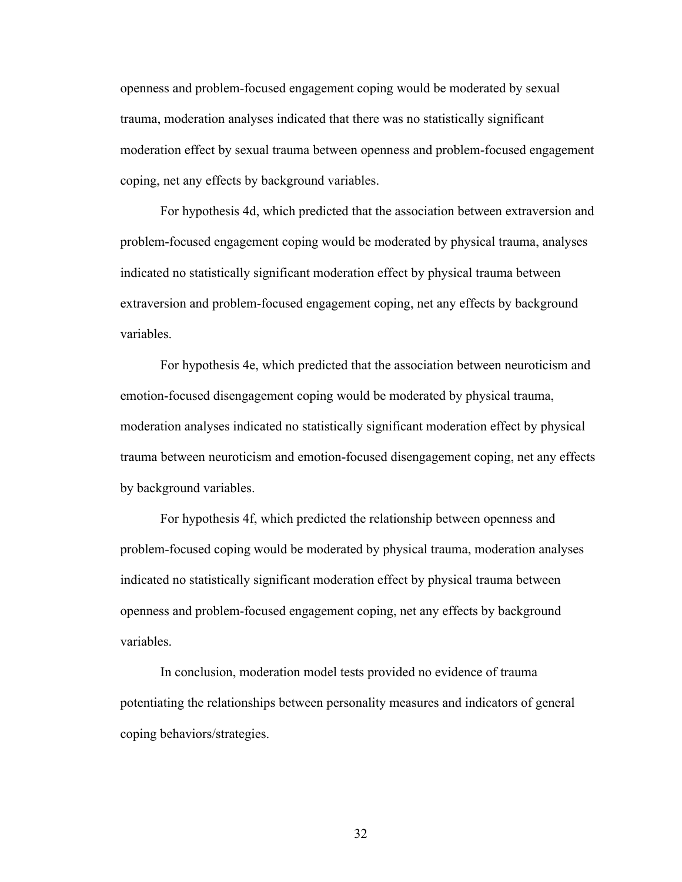openness and problem-focused engagement coping would be moderated by sexual trauma, moderation analyses indicated that there was no statistically significant moderation effect by sexual trauma between openness and problem-focused engagement coping, net any effects by background variables.

For hypothesis 4d, which predicted that the association between extraversion and problem-focused engagement coping would be moderated by physical trauma, analyses indicated no statistically significant moderation effect by physical trauma between extraversion and problem-focused engagement coping, net any effects by background variables.

For hypothesis 4e, which predicted that the association between neuroticism and emotion-focused disengagement coping would be moderated by physical trauma, moderation analyses indicated no statistically significant moderation effect by physical trauma between neuroticism and emotion-focused disengagement coping, net any effects by background variables.

For hypothesis 4f, which predicted the relationship between openness and problem-focused coping would be moderated by physical trauma, moderation analyses indicated no statistically significant moderation effect by physical trauma between openness and problem-focused engagement coping, net any effects by background variables.

In conclusion, moderation model tests provided no evidence of trauma potentiating the relationships between personality measures and indicators of general coping behaviors/strategies.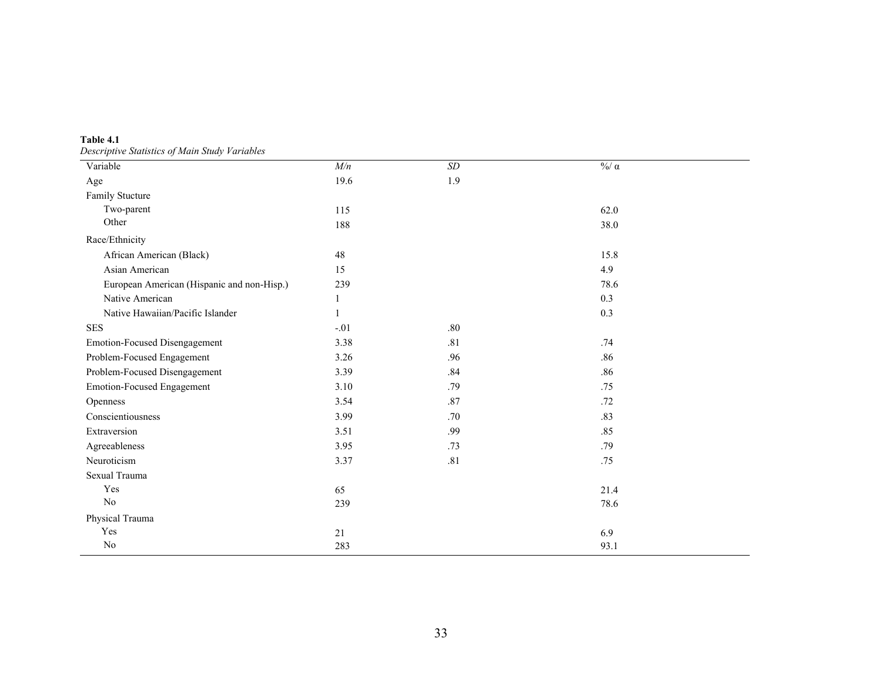**Table 4.1** *Descriptive Statistics of Main Study Variables*

<span id="page-42-0"></span>

| Leseriptive suutsites of main situs variasies<br>Variable | M/n          | SD  | $\frac{0}{0}$ α |
|-----------------------------------------------------------|--------------|-----|-----------------|
| Age                                                       | 19.6         | 1.9 |                 |
| Family Stucture                                           |              |     |                 |
| Two-parent                                                | 115          |     | 62.0            |
| Other                                                     | 188          |     | 38.0            |
| Race/Ethnicity                                            |              |     |                 |
| African American (Black)                                  | 48           |     | 15.8            |
| Asian American                                            | 15           |     | 4.9             |
| European American (Hispanic and non-Hisp.)                | 239          |     | 78.6            |
| Native American                                           | $\mathbf{1}$ |     | 0.3             |
| Native Hawaiian/Pacific Islander                          | $\mathbf{1}$ |     | 0.3             |
| <b>SES</b>                                                | $-.01$       | .80 |                 |
| Emotion-Focused Disengagement                             | 3.38         | .81 | .74             |
| Problem-Focused Engagement                                | 3.26         | .96 | .86             |
| Problem-Focused Disengagement                             | 3.39         | .84 | .86             |
| Emotion-Focused Engagement                                | 3.10         | .79 | .75             |
| Openness                                                  | 3.54         | .87 | .72             |
| Conscientiousness                                         | 3.99         | .70 | .83             |
| Extraversion                                              | 3.51         | .99 | .85             |
| Agreeableness                                             | 3.95         | .73 | .79             |
| Neuroticism                                               | 3.37         | .81 | .75             |
| Sexual Trauma                                             |              |     |                 |
| Yes                                                       | 65           |     | 21.4            |
| $\rm No$                                                  | 239          |     | 78.6            |
| Physical Trauma                                           |              |     |                 |
| Yes                                                       | 21           |     | 6.9             |
| $\rm No$                                                  | 283          |     | 93.1            |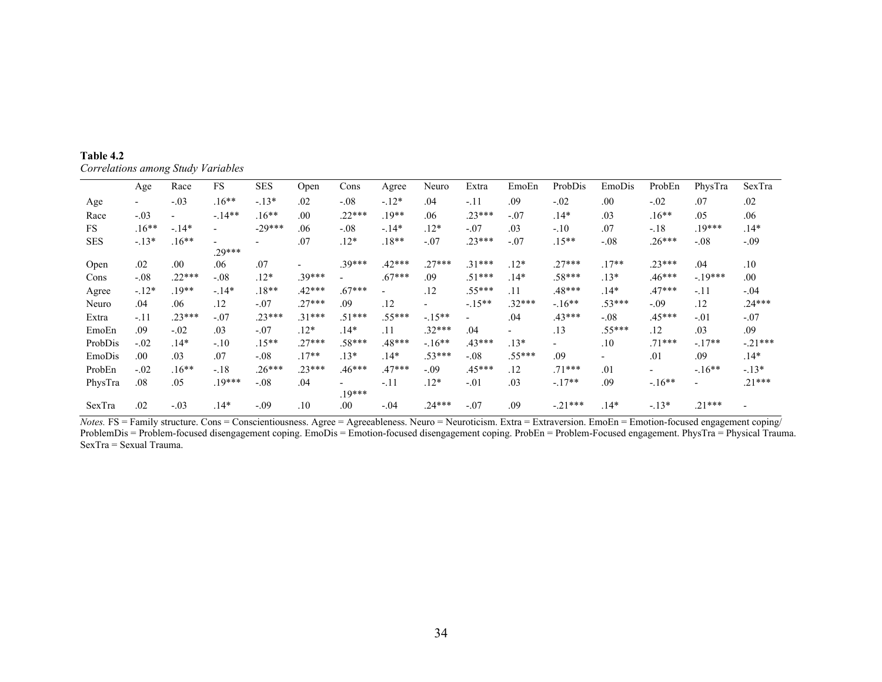| Table 4.2                          |  |
|------------------------------------|--|
| Correlations among Study Variables |  |

|            | Age                      | Race     | FS                       | <b>SES</b> | Open                     | Cons                                 | Agree                        | Neuro                    | Extra                    | EmoEn    | ProbDis                  | EmoDis   | ProbEn                   | PhysTra                  | SexTra    |
|------------|--------------------------|----------|--------------------------|------------|--------------------------|--------------------------------------|------------------------------|--------------------------|--------------------------|----------|--------------------------|----------|--------------------------|--------------------------|-----------|
| Age        | $\overline{\phantom{0}}$ | $-.03$   | $.16**$                  | $-.13*$    | .02                      | $-.08$                               | $-12*$                       | .04                      | $-.11$                   | .09      | $-.02$                   | .00      | $-.02$                   | .07                      | .02       |
| Race       | $-.03$                   |          | $-.14**$                 | $.16**$    | .00                      | $.22***$                             | $.19**$                      | .06                      | $.23***$                 | $-.07$   | $.14*$                   | .03      | $.16**$                  | .05                      | .06       |
| <b>FS</b>  | $.16**$                  | $-.14*$  | $\overline{\phantom{0}}$ | $-29***$   | .06                      | $-.08$                               | $-.14*$                      | $.12*$                   | $-.07$                   | .03      | $-.10$                   | .07      | $-.18$                   | $.19***$                 | $.14*$    |
| <b>SES</b> | $-.13*$                  | $.16**$  | $\overline{\phantom{0}}$ |            | .07                      | $.12*$                               | $.18**$                      | $-.07$                   | $.23***$                 | $-.07$   | $.15**$                  | $-.08$   | $.26***$                 | $-.08$                   | $-.09$    |
|            |                          |          | $.29***$                 |            |                          |                                      |                              |                          |                          |          |                          |          |                          |                          |           |
| Open       | .02                      | .00      | .06                      | .07        | $\overline{\phantom{0}}$ | $.39***$                             | $.42***$                     | $.27***$                 | $.31***$                 | $.12*$   | $.27***$                 | $.17**$  | $.23***$                 | .04                      | .10       |
| Cons       | $-.08$                   | $.22***$ | $-.08$                   | $.12*$     | $.39***$                 |                                      | $.67***$                     | .09                      | $.51***$                 | $.14*$   | $.58***$                 | $.13*$   | $.46***$                 | $-.19***$                | .00       |
| Agree      | $-.12*$                  | $.19**$  | $-.14*$                  | $.18**$    | $.42***$                 | $.67***$                             | $\qquad \qquad \blacksquare$ | .12                      | $.55***$                 | .11      | .48***                   | $.14*$   | $.47***$                 | $-.11$                   | $-.04$    |
| Neuro      | .04                      | .06      | .12                      | $-.07$     | $.27***$                 | .09                                  | .12                          | $\overline{\phantom{0}}$ | $-.15**$                 | $.32***$ | $-.16**$                 | $.53***$ | $-.09$                   | .12                      | $.24***$  |
| Extra      | $-.11$                   | $.23***$ | $-.07$                   | $.23***$   | $.31***$                 | $.51***$                             | $.55***$                     | $-.15**$                 | $\overline{\phantom{0}}$ | .04      | $.43***$                 | $-.08$   | $.45***$                 | $-.01$                   | $-.07$    |
| EmoEn      | .09                      | $-.02$   | .03                      | $-.07$     | $.12*$                   | $.14*$                               | .11                          | $.32***$                 | .04                      |          | .13                      | $.55***$ | .12                      | .03                      | .09       |
| ProbDis    | $-.02$                   | .14*     | $-.10$                   | $.15**$    | $.27***$                 | $.58***$                             | $.48***$                     | $-.16**$                 | $.43***$                 | $.13*$   | $\overline{\phantom{0}}$ | .10      | $.71***$                 | $-.17**$                 | $-.21***$ |
| EmoDis     | .00                      | .03      | .07                      | $-.08$     | $.17**$                  | $.13*$                               | $.14*$                       | $.53***$                 | $-.08$                   | $.55***$ | .09                      |          | .01                      | .09                      | $.14*$    |
| ProbEn     | $-.02$                   | $.16**$  | $-.18$                   | $.26***$   | $.23***$                 | $.46***$                             | $.47***$                     | $-.09$                   | $.45***$                 | .12      | $.71***$                 | .01      | $\overline{\phantom{0}}$ | $-.16**$                 | $-.13*$   |
| PhysTra    | .08                      | .05      | $.19***$                 | $-.08$     | .04                      | $\overline{\phantom{a}}$<br>$.19***$ | $-.11$                       | $.12*$                   | $-.01$                   | .03      | $-.17**$                 | .09      | $-.16**$                 | $\overline{\phantom{0}}$ | $.21***$  |
| SexTra     | .02                      | $-.03$   | $.14*$                   | $-.09$     | .10                      | .00                                  | $-.04$                       | $.24***$                 | $-.07$                   | .09      | $-.21***$                | $.14*$   | $-.13*$                  | $.21***$                 |           |

<span id="page-43-0"></span>*Notes.* FS = Family structure. Cons = Conscientiousness. Agree = Agreeableness. Neuro = Neuroticism. Extra = Extraversion. EmoEn = Emotion-focused engagement coping/ ProblemDis = Problem-focused disengagement coping. EmoDis = Emotion-focused disengagement coping. ProbEn = Problem-Focused engagement. PhysTra = Physical Trauma. SexTra = Sexual Trauma.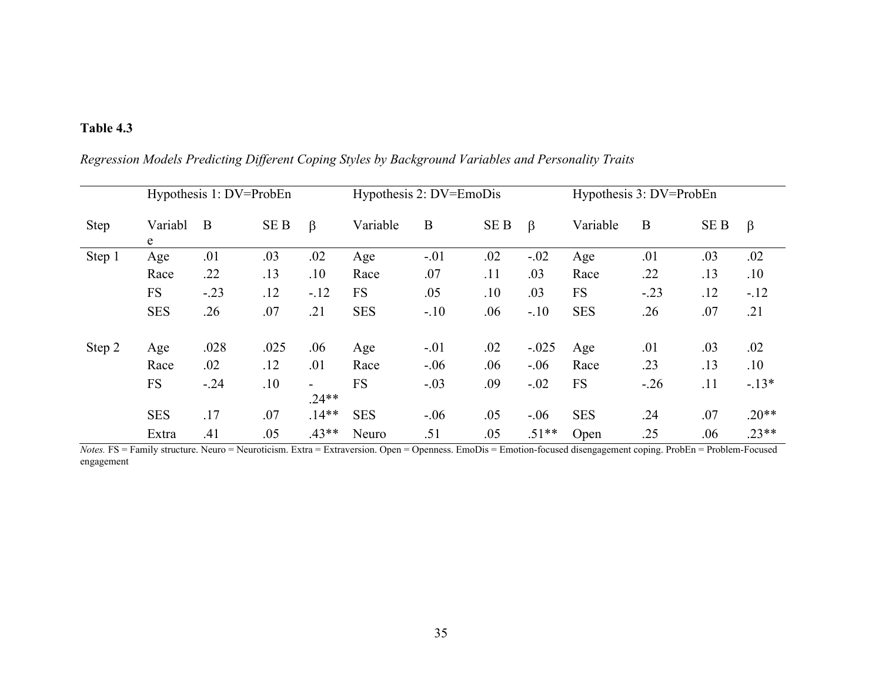# **Table 4.3**

|        |              | Hypothesis 1: DV=ProbEn |                 |                                     |            | Hypothesis 2: DV=EmoDis |                 |         |            | Hypothesis 3: DV=ProbEn |      |         |  |
|--------|--------------|-------------------------|-----------------|-------------------------------------|------------|-------------------------|-----------------|---------|------------|-------------------------|------|---------|--|
| Step   | Variabl<br>e | B                       | SE <sub>B</sub> | $\beta$                             | Variable   | $\mathbf B$             | SE <sub>B</sub> | $\beta$ | Variable   | $\bf{B}$                | SE B | $\beta$ |  |
| Step 1 | Age          | .01                     | .03             | .02                                 | Age        | $-.01$                  | .02             | $-.02$  | Age        | .01                     | .03  | .02     |  |
|        | Race         | .22                     | .13             | .10                                 | Race       | .07                     | .11             | .03     | Race       | .22                     | .13  | .10     |  |
|        | <b>FS</b>    | $-.23$                  | .12             | $-.12$                              | <b>FS</b>  | .05                     | .10             | .03     | <b>FS</b>  | $-.23$                  | .12  | $-.12$  |  |
|        | <b>SES</b>   | .26                     | .07             | .21                                 | <b>SES</b> | $-.10$                  | .06             | $-.10$  | <b>SES</b> | .26                     | .07  | .21     |  |
| Step 2 | Age          | .028                    | .025            | .06                                 | Age        | $-.01$                  | .02             | $-.025$ | Age        | .01                     | .03  | .02     |  |
|        | Race         | .02                     | .12             | .01                                 | Race       | $-.06$                  | .06             | $-.06$  | Race       | .23                     | .13  | .10     |  |
|        | <b>FS</b>    | $-.24$                  | .10             | $\overline{\phantom{a}}$<br>$.24**$ | <b>FS</b>  | $-.03$                  | .09             | $-.02$  | <b>FS</b>  | $-.26$                  | .11  | $-.13*$ |  |
|        | <b>SES</b>   | .17                     | .07             | $.14**$                             | <b>SES</b> | $-.06$                  | .05             | $-.06$  | <b>SES</b> | .24                     | .07  | $.20**$ |  |
|        | Extra        | .41                     | .05             | $.43**$                             | Neuro      | .51                     | .05             | $.51**$ | Open       | .25                     | .06  | $.23**$ |  |

*Regression Models Predicting Different Coping Styles by Background Variables and Personality Traits*

<span id="page-44-0"></span>*Notes.* FS = Family structure. Neuro = Neuroticism. Extra = Extraversion. Open = Openness. EmoDis = Emotion-focused disengagement coping. ProbEn = Problem-Focused engagement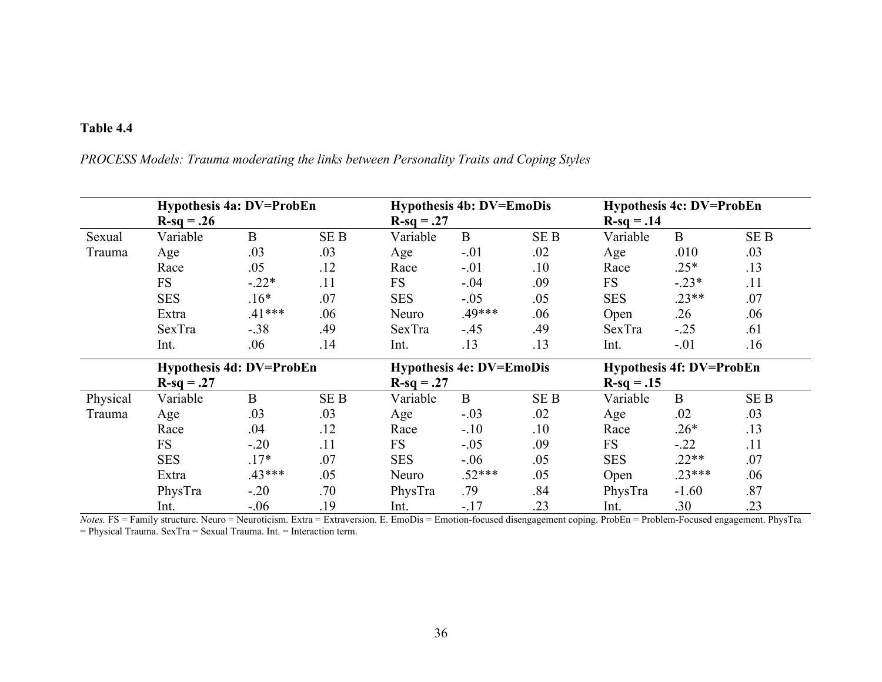# **Table 4.4**

*PROCESS Models: Trauma moderating the links between Personality Traits and Coping Styles*

<span id="page-45-0"></span>

|          | <b>Hypothesis 4a: DV=ProbEn</b> |              |            |              | <b>Hypothesis 4b: DV=EmoDis</b> |                 |              | <b>Hypothesis 4c: DV=ProbEn</b> |                 |  |  |
|----------|---------------------------------|--------------|------------|--------------|---------------------------------|-----------------|--------------|---------------------------------|-----------------|--|--|
|          | $R-sq = .26$                    |              |            | $R-sq = .27$ |                                 |                 | $R-sq = .14$ |                                 |                 |  |  |
| Sexual   | Variable                        | $\mathbf{B}$ | <b>SEB</b> | Variable     | $\mathbf{B}$                    | SE <sub>B</sub> | Variable     | $\mathbf{B}$                    | SE <sub>B</sub> |  |  |
| Trauma   | Age                             | .03          | .03        | Age          | $-.01$                          | .02             | Age          | .010                            | .03             |  |  |
|          | Race                            | .05          | .12        | Race         | $-.01$                          | .10             | Race         | $.25*$                          | .13             |  |  |
|          | <b>FS</b>                       | $-.22*$      | .11        | <b>FS</b>    | $-.04$                          | .09             | FS           | $-.23*$                         | .11             |  |  |
|          | <b>SES</b>                      | $.16*$       | .07        | <b>SES</b>   | $-.05$                          | .05             | <b>SES</b>   | $.23**$                         | .07             |  |  |
|          | Extra                           | $.41***$     | .06        | Neuro        | .49***                          | .06             | Open         | .26                             | .06             |  |  |
|          | SexTra                          | $-.38$       | .49        | SexTra       | $-.45$                          | .49             | SexTra       | $-.25$                          | .61             |  |  |
|          | Int.                            | .06          | .14        | Int.         | .13                             | .13             | Int.         | $-.01$                          | .16             |  |  |
|          | <b>Hypothesis 4d: DV=ProbEn</b> |              |            |              | <b>Hypothesis 4e: DV=EmoDis</b> |                 |              | <b>Hypothesis 4f: DV=ProbEn</b> |                 |  |  |
|          | $R-sq = .27$                    |              |            | $R-sq = .27$ |                                 |                 | $R-sq = .15$ |                                 |                 |  |  |
| Physical | Variable                        | B            | <b>SEB</b> | Variable     | B                               | SE B            | Variable     | B                               | SE <sub>B</sub> |  |  |
| Trauma   | Age                             | .03          | .03        | Age          | $-.03$                          | .02             | Age          | .02                             | .03             |  |  |
|          | Race                            | .04          | .12        | Race         | $-.10$                          | .10             | Race         | $.26*$                          | .13             |  |  |
|          | <b>FS</b>                       | $-.20$       | .11        | <b>FS</b>    | $-.05$                          | .09             | <b>FS</b>    | $-.22$                          | .11             |  |  |
|          | <b>SES</b>                      | $.17*$       | .07        | <b>SES</b>   | $-.06$                          | .05             | <b>SES</b>   | $.22**$                         | .07             |  |  |
|          | Extra                           | $.43***$     | .05        | Neuro        | $.52***$                        | .05             | Open         | $.23***$                        | .06             |  |  |
|          | PhysTra                         | $-.20$       | .70        | PhysTra      | .79                             | .84             | PhysTra      | $-1.60$                         | .87             |  |  |
|          | Int.                            | $-.06$       | .19        | Int.         | $-.17$                          | .23             | Int.         | .30                             | .23             |  |  |

*Notes.* FS = Family structure. Neuro = Neuroticism. Extra = Extraversion. E. EmoDis = Emotion-focused disengagement coping. ProbEn = Problem-Focused engagement. PhysTra = Physical Trauma. SexTra = Sexual Trauma. Int. = Interaction term.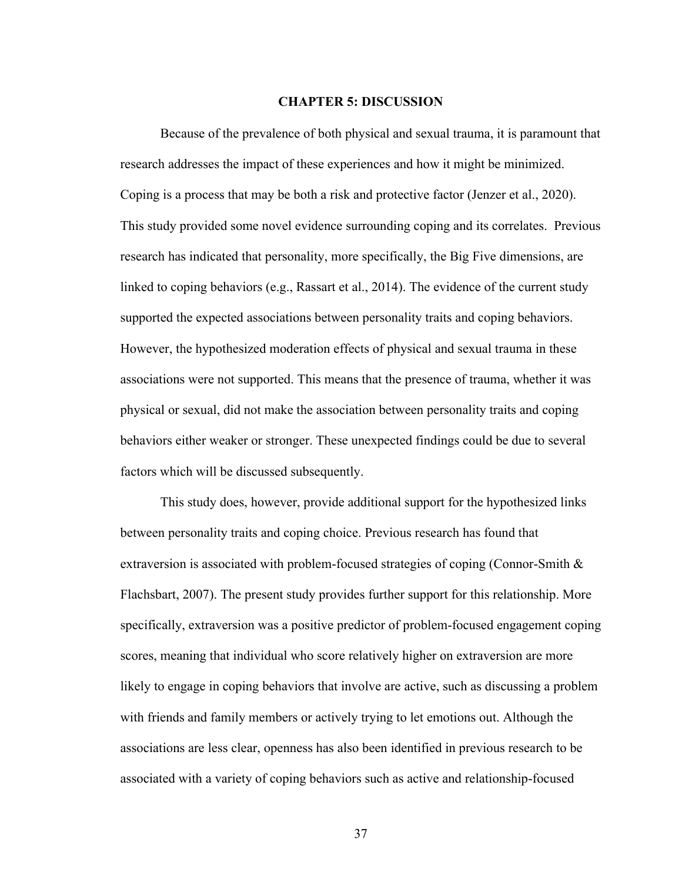#### **CHAPTER 5: DISCUSSION**

<span id="page-46-0"></span>Because of the prevalence of both physical and sexual trauma, it is paramount that research addresses the impact of these experiences and how it might be minimized. Coping is a process that may be both a risk and protective factor (Jenzer et al., 2020). This study provided some novel evidence surrounding coping and its correlates. Previous research has indicated that personality, more specifically, the Big Five dimensions, are linked to coping behaviors (e.g., Rassart et al., 2014). The evidence of the current study supported the expected associations between personality traits and coping behaviors. However, the hypothesized moderation effects of physical and sexual trauma in these associations were not supported. This means that the presence of trauma, whether it was physical or sexual, did not make the association between personality traits and coping behaviors either weaker or stronger. These unexpected findings could be due to several factors which will be discussed subsequently.

This study does, however, provide additional support for the hypothesized links between personality traits and coping choice. Previous research has found that extraversion is associated with problem-focused strategies of coping (Connor-Smith & Flachsbart, 2007). The present study provides further support for this relationship. More specifically, extraversion was a positive predictor of problem-focused engagement coping scores, meaning that individual who score relatively higher on extraversion are more likely to engage in coping behaviors that involve are active, such as discussing a problem with friends and family members or actively trying to let emotions out. Although the associations are less clear, openness has also been identified in previous research to be associated with a variety of coping behaviors such as active and relationship-focused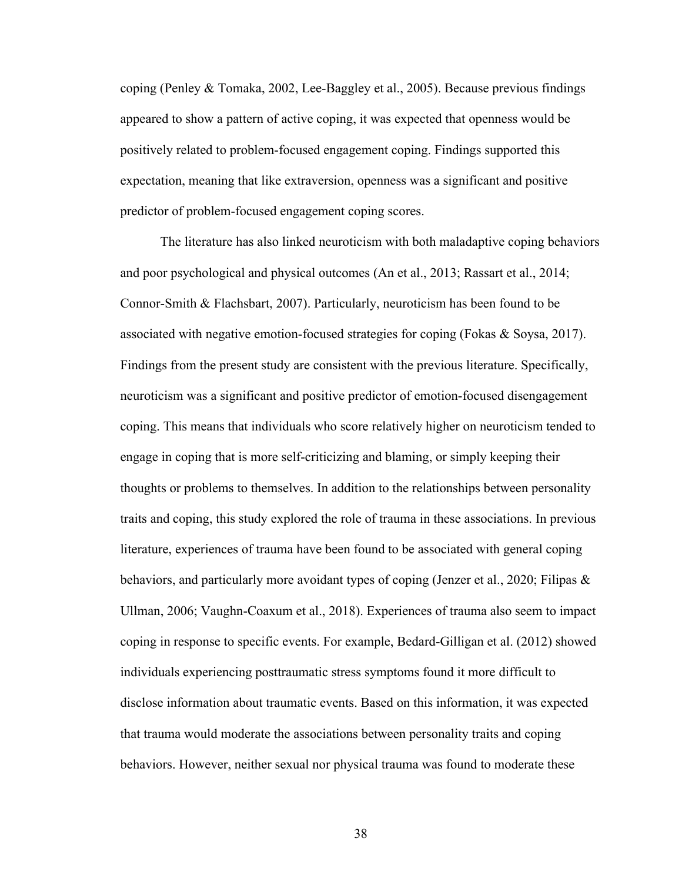coping (Penley & Tomaka, 2002, Lee-Baggley et al., 2005). Because previous findings appeared to show a pattern of active coping, it was expected that openness would be positively related to problem-focused engagement coping. Findings supported this expectation, meaning that like extraversion, openness was a significant and positive predictor of problem-focused engagement coping scores.

The literature has also linked neuroticism with both maladaptive coping behaviors and poor psychological and physical outcomes (An et al., 2013; Rassart et al., 2014; Connor-Smith & Flachsbart, 2007). Particularly, neuroticism has been found to be associated with negative emotion-focused strategies for coping (Fokas & Soysa, 2017). Findings from the present study are consistent with the previous literature. Specifically, neuroticism was a significant and positive predictor of emotion-focused disengagement coping. This means that individuals who score relatively higher on neuroticism tended to engage in coping that is more self-criticizing and blaming, or simply keeping their thoughts or problems to themselves. In addition to the relationships between personality traits and coping, this study explored the role of trauma in these associations. In previous literature, experiences of trauma have been found to be associated with general coping behaviors, and particularly more avoidant types of coping (Jenzer et al., 2020; Filipas & Ullman, 2006; Vaughn-Coaxum et al., 2018). Experiences of trauma also seem to impact coping in response to specific events. For example, Bedard-Gilligan et al. (2012) showed individuals experiencing posttraumatic stress symptoms found it more difficult to disclose information about traumatic events. Based on this information, it was expected that trauma would moderate the associations between personality traits and coping behaviors. However, neither sexual nor physical trauma was found to moderate these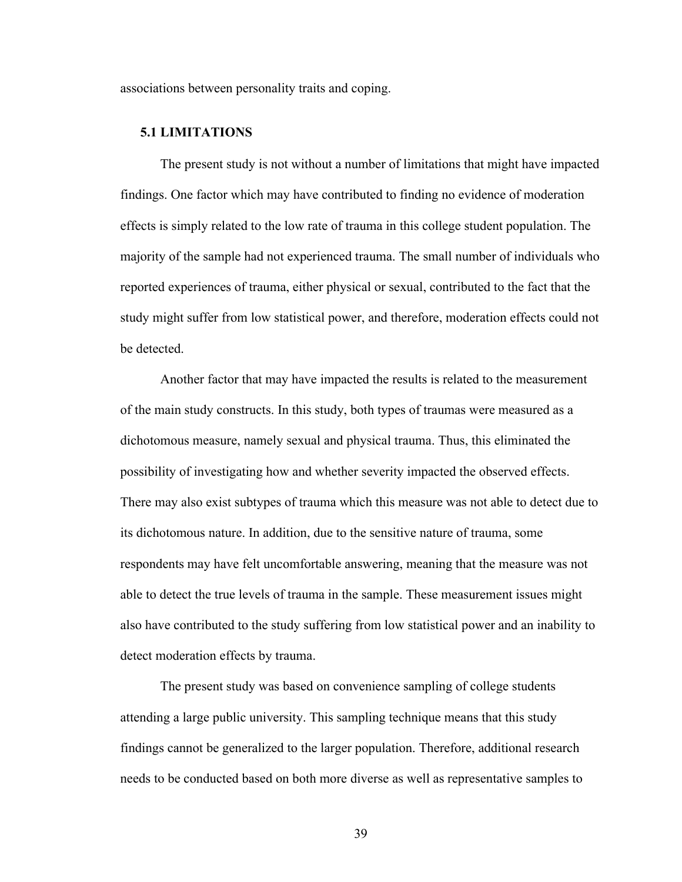<span id="page-48-0"></span>associations between personality traits and coping.

#### **5.1 LIMITATIONS**

The present study is not without a number of limitations that might have impacted findings. One factor which may have contributed to finding no evidence of moderation effects is simply related to the low rate of trauma in this college student population. The majority of the sample had not experienced trauma. The small number of individuals who reported experiences of trauma, either physical or sexual, contributed to the fact that the study might suffer from low statistical power, and therefore, moderation effects could not be detected.

Another factor that may have impacted the results is related to the measurement of the main study constructs. In this study, both types of traumas were measured as a dichotomous measure, namely sexual and physical trauma. Thus, this eliminated the possibility of investigating how and whether severity impacted the observed effects. There may also exist subtypes of trauma which this measure was not able to detect due to its dichotomous nature. In addition, due to the sensitive nature of trauma, some respondents may have felt uncomfortable answering, meaning that the measure was not able to detect the true levels of trauma in the sample. These measurement issues might also have contributed to the study suffering from low statistical power and an inability to detect moderation effects by trauma.

The present study was based on convenience sampling of college students attending a large public university. This sampling technique means that this study findings cannot be generalized to the larger population. Therefore, additional research needs to be conducted based on both more diverse as well as representative samples to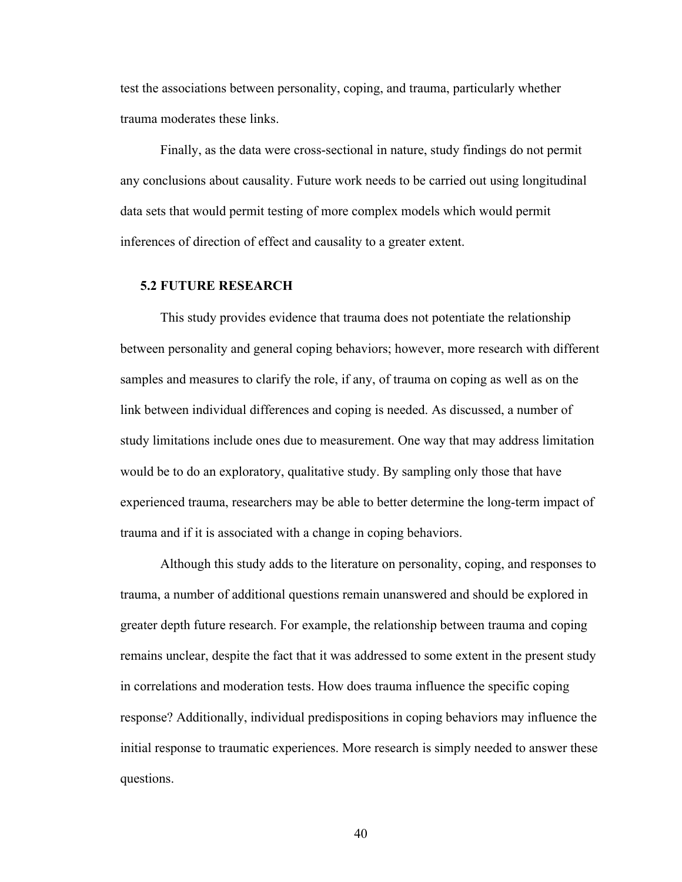test the associations between personality, coping, and trauma, particularly whether trauma moderates these links.

Finally, as the data were cross-sectional in nature, study findings do not permit any conclusions about causality. Future work needs to be carried out using longitudinal data sets that would permit testing of more complex models which would permit inferences of direction of effect and causality to a greater extent.

#### <span id="page-49-0"></span>**5.2 FUTURE RESEARCH**

This study provides evidence that trauma does not potentiate the relationship between personality and general coping behaviors; however, more research with different samples and measures to clarify the role, if any, of trauma on coping as well as on the link between individual differences and coping is needed. As discussed, a number of study limitations include ones due to measurement. One way that may address limitation would be to do an exploratory, qualitative study. By sampling only those that have experienced trauma, researchers may be able to better determine the long-term impact of trauma and if it is associated with a change in coping behaviors.

Although this study adds to the literature on personality, coping, and responses to trauma, a number of additional questions remain unanswered and should be explored in greater depth future research. For example, the relationship between trauma and coping remains unclear, despite the fact that it was addressed to some extent in the present study in correlations and moderation tests. How does trauma influence the specific coping response? Additionally, individual predispositions in coping behaviors may influence the initial response to traumatic experiences. More research is simply needed to answer these questions.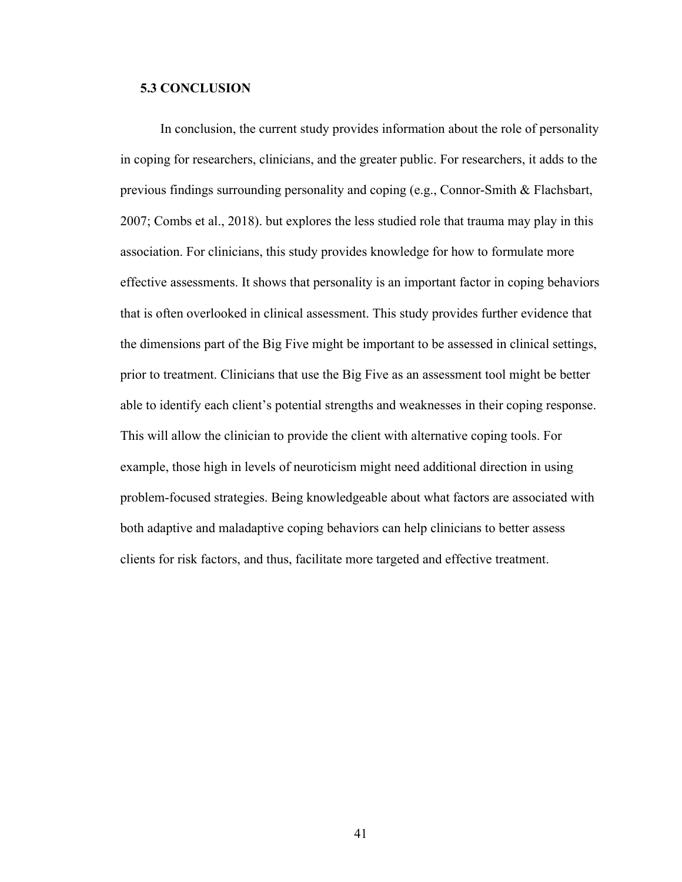### <span id="page-50-0"></span>**5.3 CONCLUSION**

In conclusion, the current study provides information about the role of personality in coping for researchers, clinicians, and the greater public. For researchers, it adds to the previous findings surrounding personality and coping (e.g., Connor-Smith & Flachsbart, 2007; Combs et al., 2018). but explores the less studied role that trauma may play in this association. For clinicians, this study provides knowledge for how to formulate more effective assessments. It shows that personality is an important factor in coping behaviors that is often overlooked in clinical assessment. This study provides further evidence that the dimensions part of the Big Five might be important to be assessed in clinical settings, prior to treatment. Clinicians that use the Big Five as an assessment tool might be better able to identify each client's potential strengths and weaknesses in their coping response. This will allow the clinician to provide the client with alternative coping tools. For example, those high in levels of neuroticism might need additional direction in using problem-focused strategies. Being knowledgeable about what factors are associated with both adaptive and maladaptive coping behaviors can help clinicians to better assess clients for risk factors, and thus, facilitate more targeted and effective treatment.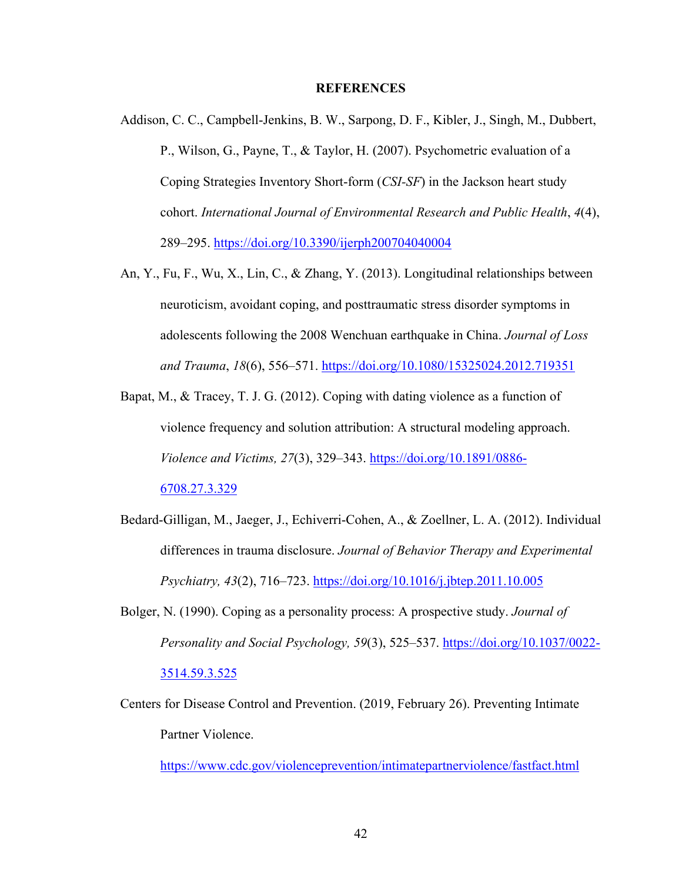#### **REFERENCES**

- <span id="page-51-0"></span>Addison, C. C., Campbell-Jenkins, B. W., Sarpong, D. F., Kibler, J., Singh, M., Dubbert, P., Wilson, G., Payne, T., & Taylor, H. (2007). Psychometric evaluation of a Coping Strategies Inventory Short-form (*CSI-SF*) in the Jackson heart study cohort. *International Journal of Environmental Research and Public Health*, *4*(4), 289–295. <https://doi.org/10.3390/ijerph200704040004>
- An, Y., Fu, F., Wu, X., Lin, C., & Zhang, Y. (2013). Longitudinal relationships between neuroticism, avoidant coping, and posttraumatic stress disorder symptoms in adolescents following the 2008 Wenchuan earthquake in China. *Journal of Loss and Trauma*, *18*(6), 556–571.<https://doi.org/10.1080/15325024.2012.719351>
- Bapat, M., & Tracey, T. J. G. (2012). Coping with dating violence as a function of violence frequency and solution attribution: A structural modeling approach. *Violence and Victims, 27*(3), 329–343. [https://doi.org/10.1891/0886-](https://doi.org/10.1891/0886-6708.27.3.329) [6708.27.3.329](https://doi.org/10.1891/0886-6708.27.3.329)
- Bedard-Gilligan, M., Jaeger, J., Echiverri-Cohen, A., & Zoellner, L. A. (2012). Individual differences in trauma disclosure. *Journal of Behavior Therapy and Experimental Psychiatry, 43*(2), 716–723.<https://doi.org/10.1016/j.jbtep.2011.10.005>
- Bolger, N. (1990). Coping as a personality process: A prospective study. *Journal of Personality and Social Psychology, 59*(3), 525–537. [https://doi.org/10.1037/0022-](https://doi.org/10.1037/0022-3514.59.3.525) [3514.59.3.525](https://doi.org/10.1037/0022-3514.59.3.525)
- Centers for Disease Control and Prevention. (2019, February 26). Preventing Intimate Partner Violence.

<https://www.cdc.gov/violenceprevention/intimatepartnerviolence/fastfact.html>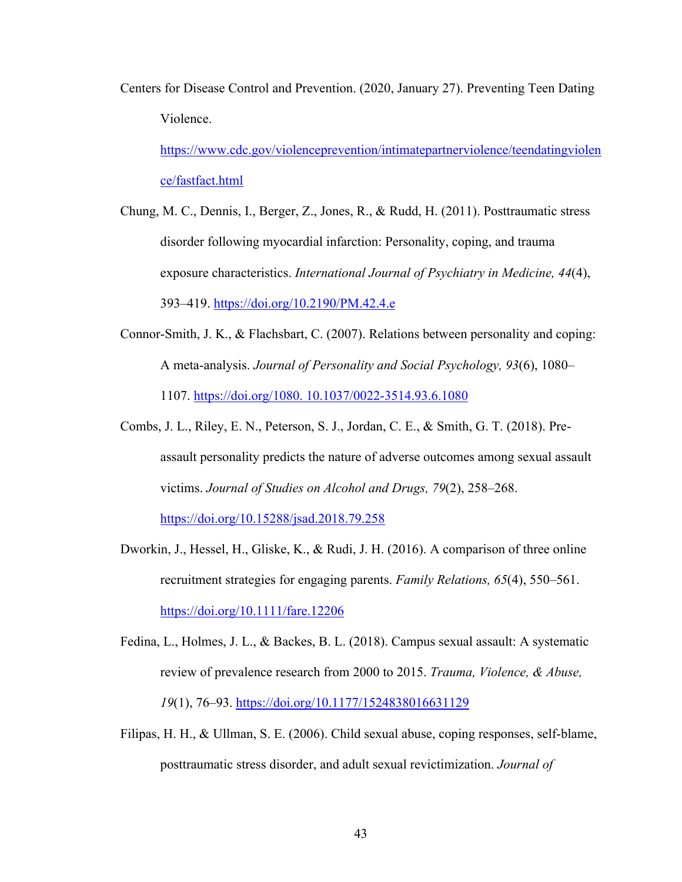Centers for Disease Control and Prevention. (2020, January 27). Preventing Teen Dating Violence.

[https://www.cdc.gov/violenceprevention/intimatepartnerviolence/teendatingviolen](https://www.cdc.gov/violenceprevention/intimatepartnerviolence/teendatingviolence/fastfact.html) [ce/fastfact.html](https://www.cdc.gov/violenceprevention/intimatepartnerviolence/teendatingviolence/fastfact.html)

- Chung, M. C., Dennis, I., Berger, Z., Jones, R., & Rudd, H. (2011). Posttraumatic stress disorder following myocardial infarction: Personality, coping, and trauma exposure characteristics. *International Journal of Psychiatry in Medicine, 44*(4), 393–419.<https://doi.org/10.2190/PM.42.4.e>
- Connor-Smith, J. K., & Flachsbart, C. (2007). Relations between personality and coping: A meta-analysis. *Journal of Personality and Social Psychology, 93*(6), 1080– 1107. https://doi.org/1080. [10.1037/0022-3514.93.6.1080](https://doi.org/1080.%2010.1037/0022-3514.93.6.1080)
- Combs, J. L., Riley, E. N., Peterson, S. J., Jordan, C. E., & Smith, G. T. (2018). Preassault personality predicts the nature of adverse outcomes among sexual assault victims. *Journal of Studies on Alcohol and Drugs, 79*(2), 258–268. <https://doi.org/10.15288/jsad.2018.79.258>
- Dworkin, J., Hessel, H., Gliske, K., & Rudi, J. H. (2016). A comparison of three online recruitment strategies for engaging parents. *Family Relations, 65*(4), 550–561. <https://doi.org/10.1111/fare.12206>
- Fedina, L., Holmes, J. L., & Backes, B. L. (2018). Campus sexual assault: A systematic review of prevalence research from 2000 to 2015. *Trauma, Violence, & Abuse, 19*(1), 76–93.<https://doi.org/10.1177/1524838016631129>
- Filipas, H. H., & Ullman, S. E. (2006). Child sexual abuse, coping responses, self-blame, posttraumatic stress disorder, and adult sexual revictimization. *Journal of*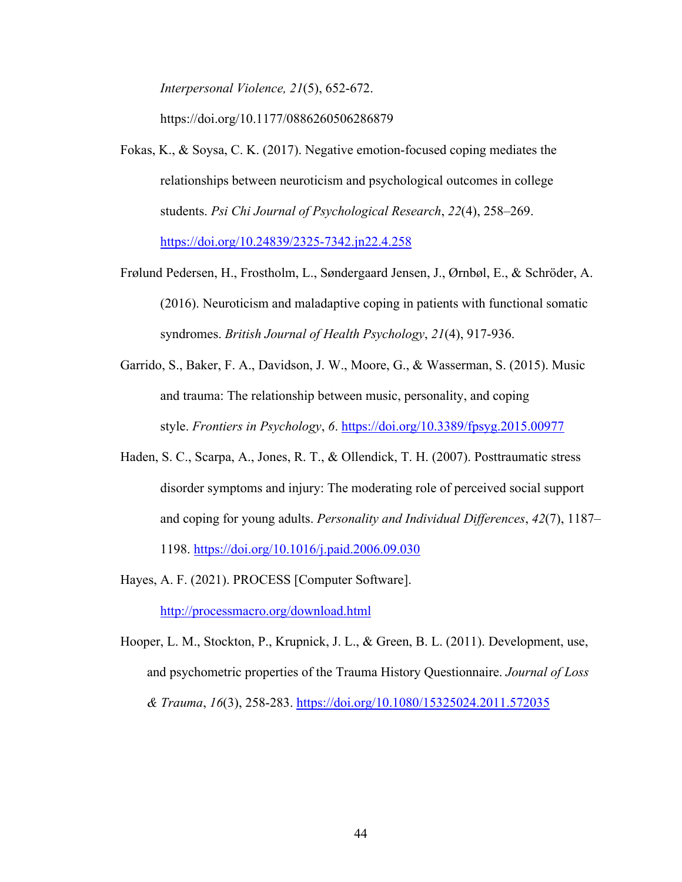*Interpersonal Violence, 21*(5), 652-672.

https://doi.org/10.1177/0886260506286879

- Fokas, K., & Soysa, C. K. (2017). Negative emotion-focused coping mediates the relationships between neuroticism and psychological outcomes in college students. *Psi Chi Journal of Psychological Research*, *22*(4), 258–269. <https://doi.org/10.24839/2325-7342.jn22.4.258>
- Frølund Pedersen, H., Frostholm, L., Søndergaard Jensen, J., Ørnbøl, E., & Schröder, A. (2016). Neuroticism and maladaptive coping in patients with functional somatic syndromes. *British Journal of Health Psychology*, *21*(4), 917-936.
- Garrido, S., Baker, F. A., Davidson, J. W., Moore, G., & Wasserman, S. (2015). Music and trauma: The relationship between music, personality, and coping style. *Frontiers in Psychology*, *6*.<https://doi.org/10.3389/fpsyg.2015.00977>
- Haden, S. C., Scarpa, A., Jones, R. T., & Ollendick, T. H. (2007). Posttraumatic stress disorder symptoms and injury: The moderating role of perceived social support and coping for young adults. *Personality and Individual Differences*, *42*(7), 1187–

1198.<https://doi.org/10.1016/j.paid.2006.09.030>

Hayes, A. F. (2021). PROCESS [Computer Software].

<http://processmacro.org/download.html>

Hooper, L. M., Stockton, P., Krupnick, J. L., & Green, B. L. (2011). Development, use, and psychometric properties of the Trauma History Questionnaire. *Journal of Loss & Trauma*, *16*(3), 258-283.<https://doi.org/10.1080/15325024.2011.572035>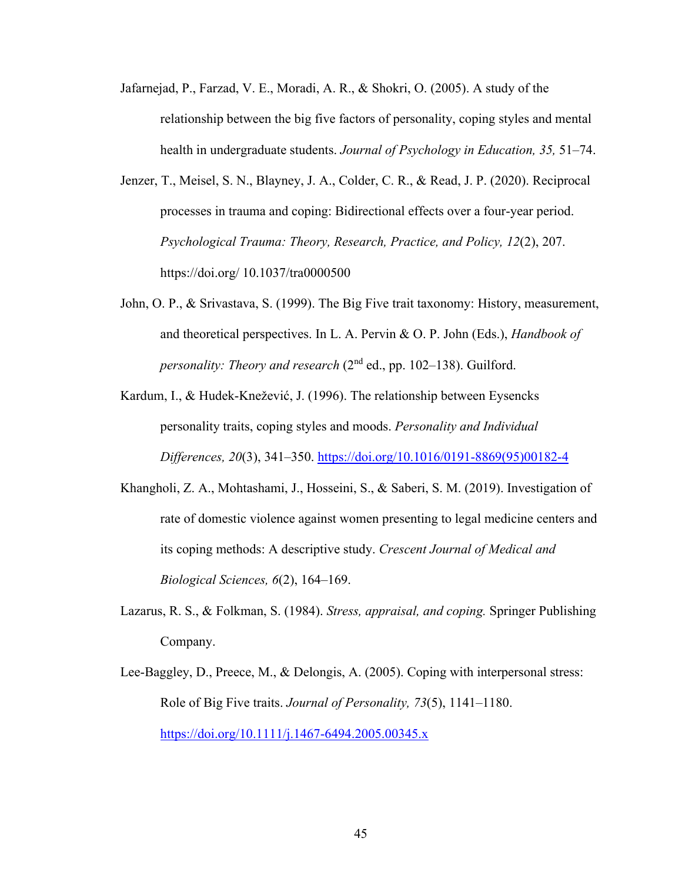- Jafarnejad, P., Farzad, V. E., Moradi, A. R., & Shokri, O. (2005). A study of the relationship between the big five factors of personality, coping styles and mental health in undergraduate students. *Journal of Psychology in Education, 35,* 51–74.
- Jenzer, T., Meisel, S. N., Blayney, J. A., Colder, C. R., & Read, J. P. (2020). Reciprocal processes in trauma and coping: Bidirectional effects over a four-year period. *Psychological Trauma: Theory, Research, Practice, and Policy, 12*(2), 207. https://doi.org/ 10.1037/tra0000500
- John, O. P., & Srivastava, S. (1999). The Big Five trait taxonomy: History, measurement, and theoretical perspectives. In L. A. Pervin & O. P. John (Eds.), *Handbook of personality: Theory and research* (2<sup>nd</sup> ed., pp. 102–138). Guilford.
- Kardum, I., & Hudek-Knežević, J. (1996). The relationship between Eysencks personality traits, coping styles and moods. *Personality and Individual Differences, 20*(3), 341–350. [https://doi.org/10.1016/0191-8869\(95\)00182-4](https://doi.org/10.1016/0191-8869(95)00182-4)
- Khangholi, Z. A., Mohtashami, J., Hosseini, S., & Saberi, S. M. (2019). Investigation of rate of domestic violence against women presenting to legal medicine centers and its coping methods: A descriptive study. *Crescent Journal of Medical and Biological Sciences, 6*(2), 164–169.
- Lazarus, R. S., & Folkman, S. (1984). *Stress, appraisal, and coping.* Springer Publishing Company.
- Lee-Baggley, D., Preece, M., & Delongis, A. (2005). Coping with interpersonal stress: Role of Big Five traits. *Journal of Personality, 73*(5), 1141–1180. <https://doi.org/10.1111/j.1467-6494.2005.00345.x>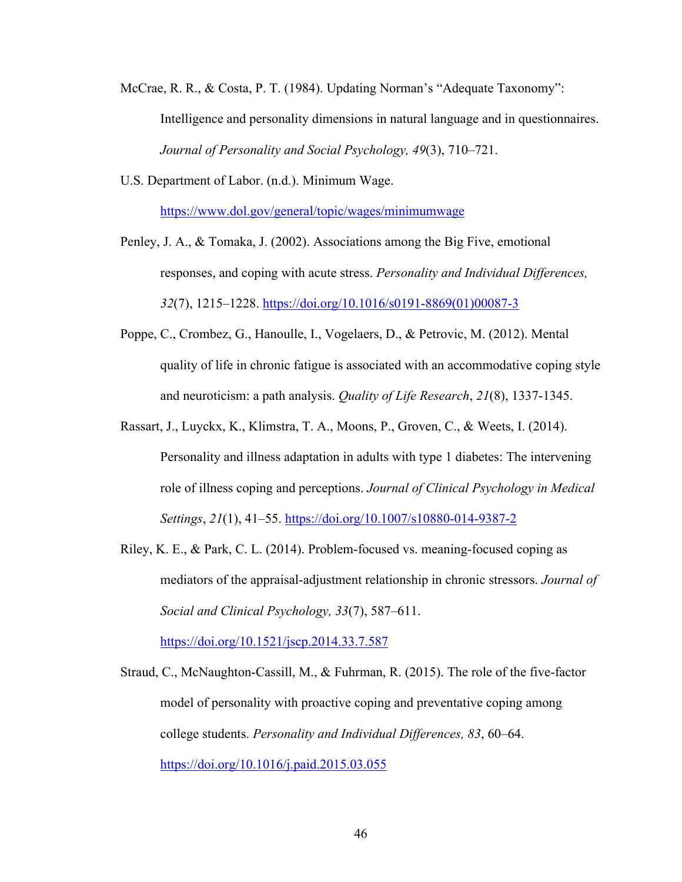- McCrae, R. R., & Costa, P. T. (1984). Updating Norman's "Adequate Taxonomy": Intelligence and personality dimensions in natural language and in questionnaires. *Journal of Personality and Social Psychology, 49*(3), 710–721.
- U.S. Department of Labor. (n.d.). Minimum Wage.

<https://www.dol.gov/general/topic/wages/minimumwage>

- Penley, J. A., & Tomaka, J. (2002). Associations among the Big Five, emotional responses, and coping with acute stress. *Personality and Individual Differences, 32*(7), 1215–1228. [https://doi.org/10.1016/s0191-8869\(01\)00087-3](https://doi.org/10.1016/s0191-8869(01)00087-3)
- Poppe, C., Crombez, G., Hanoulle, I., Vogelaers, D., & Petrovic, M. (2012). Mental quality of life in chronic fatigue is associated with an accommodative coping style and neuroticism: a path analysis. *Quality of Life Research*, *21*(8), 1337-1345.
- Rassart, J., Luyckx, K., Klimstra, T. A., Moons, P., Groven, C., & Weets, I. (2014). Personality and illness adaptation in adults with type 1 diabetes: The intervening role of illness coping and perceptions. *Journal of Clinical Psychology in Medical Settings*, *21*(1), 41–55.<https://doi.org/10.1007/s10880-014-9387-2>
- Riley, K. E., & Park, C. L. (2014). Problem-focused vs. meaning-focused coping as mediators of the appraisal-adjustment relationship in chronic stressors. *Journal of Social and Clinical Psychology, 33*(7), 587–611.

<https://doi.org/10.1521/jscp.2014.33.7.587>

Straud, C., McNaughton-Cassill, M., & Fuhrman, R. (2015). The role of the five-factor model of personality with proactive coping and preventative coping among college students. *Personality and Individual Differences, 83*, 60–64. <https://doi.org/10.1016/j.paid.2015.03.055>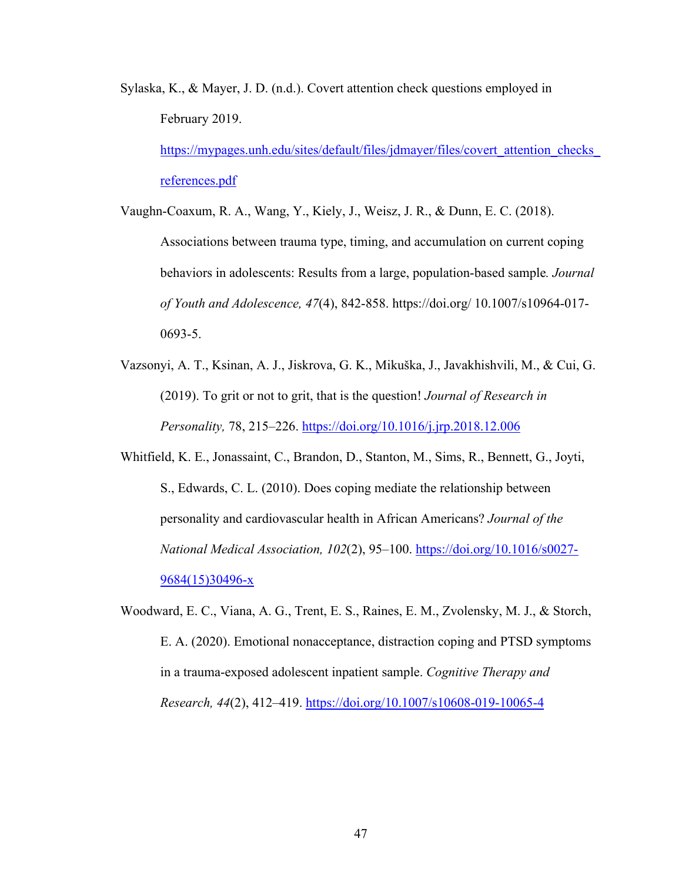Sylaska, K., & Mayer, J. D. (n.d.). Covert attention check questions employed in February 2019.

[https://mypages.unh.edu/sites/default/files/jdmayer/files/covert\\_attention\\_checks\\_](https://mypages.unh.edu/sites/default/files/jdmayer/files/covert_attention_checks_references.pdf) [references.pdf](https://mypages.unh.edu/sites/default/files/jdmayer/files/covert_attention_checks_references.pdf)

Vaughn-Coaxum, R. A., Wang, Y., Kiely, J., Weisz, J. R., & Dunn, E. C. (2018). Associations between trauma type, timing, and accumulation on current coping behaviors in adolescents: Results from a large, population-based sample*. Journal of Youth and Adolescence, 47*(4), 842-858. https://doi.org/ 10.1007/s10964-017- 0693-5.

- Vazsonyi, A. T., Ksinan, A. J., Jiskrova, G. K., Mikuška, J., Javakhishvili, M., & Cui, G. (2019). To grit or not to grit, that is the question! *Journal of Research in Personality,* 78, 215–226.<https://doi.org/10.1016/j.jrp.2018.12.006>
- Whitfield, K. E., Jonassaint, C., Brandon, D., Stanton, M., Sims, R., Bennett, G., Joyti, S., Edwards, C. L. (2010). Does coping mediate the relationship between personality and cardiovascular health in African Americans? *Journal of the National Medical Association, 102*(2), 95–100. [https://doi.org/10.1016/s0027-](https://doi.org/10.1016/s0027-9684(15)30496-x) [9684\(15\)30496-x](https://doi.org/10.1016/s0027-9684(15)30496-x)
- Woodward, E. C., Viana, A. G., Trent, E. S., Raines, E. M., Zvolensky, M. J., & Storch, E. A. (2020). Emotional nonacceptance, distraction coping and PTSD symptoms in a trauma-exposed adolescent inpatient sample. *Cognitive Therapy and Research, 44*(2), 412–419.<https://doi.org/10.1007/s10608-019-10065-4>